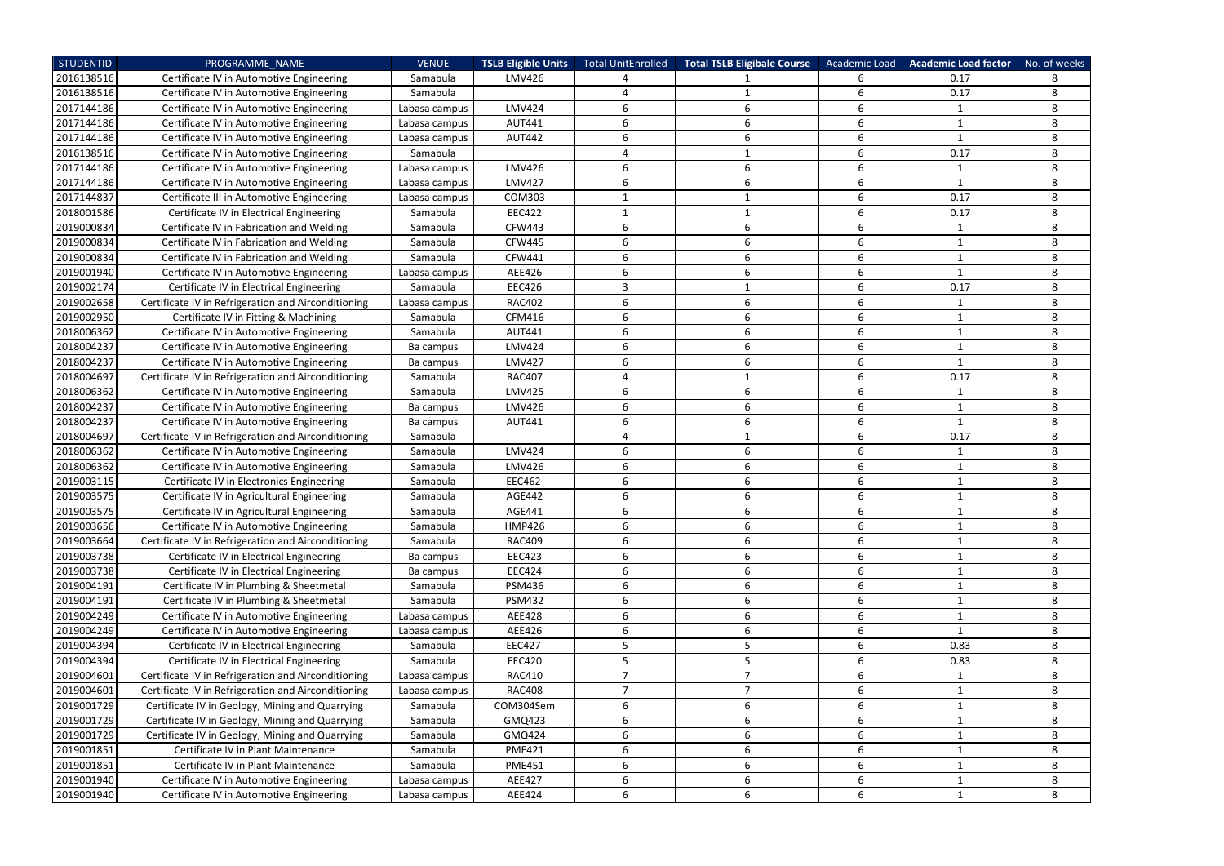| <b>STUDENTID</b> | PROGRAMME NAME                                      | <b>VENUE</b>  | <b>TSLB Eligible Units</b> | Total UnitEnrolled | <b>Total TSLB Eligibale Course</b> | Academic Load | <b>Academic Load factor</b> | No. of weeks |
|------------------|-----------------------------------------------------|---------------|----------------------------|--------------------|------------------------------------|---------------|-----------------------------|--------------|
| 2016138516       | Certificate IV in Automotive Engineering            | Samabula      | <b>LMV426</b>              |                    |                                    | 6             | 0.17                        |              |
| 2016138516       | Certificate IV in Automotive Engineering            | Samabula      |                            | 4                  |                                    | 6             | 0.17                        | 8            |
| 2017144186       | Certificate IV in Automotive Engineering            | Labasa campus | <b>LMV424</b>              | 6                  | 6                                  | $6\,$         | $\mathbf{1}$                | 8            |
| 2017144186       | Certificate IV in Automotive Engineering            | Labasa campus | <b>AUT441</b>              | 6                  | 6                                  | 6             | $\mathbf{1}$                | 8            |
| 2017144186       | Certificate IV in Automotive Engineering            | Labasa campus | <b>AUT442</b>              | 6                  | 6                                  | 6             | $\mathbf{1}$                | 8            |
| 2016138516       | Certificate IV in Automotive Engineering            | Samabula      |                            | 4                  |                                    | 6             | 0.17                        | 8            |
| 2017144186       | Certificate IV in Automotive Engineering            | Labasa campus | LMV426                     | 6                  | 6                                  | 6             | $\mathbf{1}$                | 8            |
| 2017144186       | Certificate IV in Automotive Engineering            | Labasa campus | <b>LMV427</b>              | 6                  | 6                                  | 6             | $\mathbf{1}$                | 8            |
| 2017144837       | Certificate III in Automotive Engineering           | Labasa campus | COM303                     |                    |                                    | 6             | 0.17                        | 8            |
| 2018001586       | Certificate IV in Electrical Engineering            | Samabula      | <b>EEC422</b>              | -1                 |                                    | 6             | 0.17                        | 8            |
| 2019000834       | Certificate IV in Fabrication and Welding           | Samabula      | <b>CFW443</b>              | 6                  | 6                                  | 6             | $\mathbf{1}$                | 8            |
| 2019000834       | Certificate IV in Fabrication and Welding           | Samabula      | <b>CFW445</b>              | 6                  | 6                                  | 6             | $\mathbf{1}$                | 8            |
| 2019000834       | Certificate IV in Fabrication and Welding           | Samabula      | <b>CFW441</b>              | 6                  | 6                                  | 6             | $\mathbf{1}$                | 8            |
| 2019001940       | Certificate IV in Automotive Engineering            | Labasa campus | AEE426                     | 6                  | 6                                  | 6             | 1                           | 8            |
| 2019002174       | Certificate IV in Electrical Engineering            | Samabula      | <b>EEC426</b>              | 3                  |                                    | 6             | 0.17                        | 8            |
| 2019002658       | Certificate IV in Refrigeration and Airconditioning | Labasa campus | <b>RAC402</b>              | 6                  | 6                                  | 6             | 1                           | 8            |
| 2019002950       | Certificate IV in Fitting & Machining               | Samabula      | CFM416                     | 6                  | 6                                  | 6             | $\mathbf{1}$                | 8            |
| 2018006362       | Certificate IV in Automotive Engineering            | Samabula      | <b>AUT441</b>              | 6                  | 6                                  | 6             | $\mathbf 1$                 | 8            |
| 2018004237       | Certificate IV in Automotive Engineering            | Ba campus     | <b>LMV424</b>              | 6                  | 6                                  | 6             | 1                           | 8            |
| 2018004237       | Certificate IV in Automotive Engineering            | Ba campus     | <b>LMV427</b>              | 6                  | 6                                  | 6             | $\mathbf{1}$                | 8            |
| 2018004697       | Certificate IV in Refrigeration and Airconditioning | Samabula      | <b>RAC407</b>              | 4                  |                                    | 6             | 0.17                        | 8            |
| 2018006362       | Certificate IV in Automotive Engineering            | Samabula      | <b>LMV425</b>              | 6                  | 6                                  | 6             | $\mathbf{1}$                | 8            |
| 2018004237       | Certificate IV in Automotive Engineering            | Ba campus     | LMV426                     | 6                  | 6                                  | 6             | $\mathbf{1}$                | 8            |
| 2018004237       | Certificate IV in Automotive Engineering            | Ba campus     | <b>AUT441</b>              | 6                  | 6                                  | 6             | $\mathbf{1}$                | 8            |
| 2018004697       | Certificate IV in Refrigeration and Airconditioning | Samabula      |                            | 4                  |                                    | 6             | 0.17                        | 8            |
| 2018006362       | Certificate IV in Automotive Engineering            | Samabula      | <b>LMV424</b>              | 6                  | 6                                  | 6             | 1                           | 8            |
| 2018006362       | Certificate IV in Automotive Engineering            | Samabula      | <b>LMV426</b>              | 6                  | 6                                  | 6             | $\mathbf{1}$                | 8            |
| 2019003115       | Certificate IV in Electronics Engineering           | Samabula      | <b>EEC462</b>              | 6                  | 6                                  | 6             | -1                          | 8            |
| 2019003575       | Certificate IV in Agricultural Engineering          | Samabula      | <b>AGE442</b>              | 6                  | 6                                  | 6             | 1                           | 8            |
| 2019003575       | Certificate IV in Agricultural Engineering          | Samabula      | AGE441                     |                    |                                    | 6             |                             | 8            |
| 2019003656       | Certificate IV in Automotive Engineering            | Samabula      | <b>HMP426</b>              | 6                  | 6                                  | 6             | $\mathbf{1}$                | 8            |
| 2019003664       | Certificate IV in Refrigeration and Airconditioning | Samabula      | <b>RAC409</b>              | 6                  | 6                                  | 6             | $\mathbf{1}$                | 8            |
| 2019003738       | Certificate IV in Electrical Engineering            | Ba campus     | <b>EEC423</b>              | 6                  | 6                                  | 6             | 1                           | 8            |
| 2019003738       | Certificate IV in Electrical Engineering            | Ba campus     | <b>EEC424</b>              | 6                  | 6                                  | 6             | $\mathbf{1}$                | 8            |
| 2019004191       | Certificate IV in Plumbing & Sheetmetal             | Samabula      | <b>PSM436</b>              | 6                  | 6                                  | 6             | $\mathbf{1}$                | 8            |
| 2019004191       | Certificate IV in Plumbing & Sheetmetal             | Samabula      | <b>PSM432</b>              | 6                  | 6                                  | 6             | 1                           | 8            |
| 2019004249       | Certificate IV in Automotive Engineering            | Labasa campus | <b>AEE428</b>              | 6                  | 6                                  | 6             | $\mathbf{1}$                | 8            |
| 2019004249       | Certificate IV in Automotive Engineering            | Labasa campus | AEE426                     | 6                  | 6                                  | 6             | $\mathbf{1}$                | 8            |
| 2019004394       | Certificate IV in Electrical Engineering            | Samabula      | <b>EEC427</b>              | 5                  | 5                                  | 6             | 0.83                        | 8            |
| 2019004394       | Certificate IV in Electrical Engineering            | Samabula      | <b>EEC420</b>              | 5                  | 5                                  | 6             | 0.83                        | 8            |
| 2019004601       | Certificate IV in Refrigeration and Airconditioning | Labasa campus | <b>RAC410</b>              | $\overline{7}$     | 7                                  | 6             | $\mathbf{1}$                | 8            |
| 2019004601       | Certificate IV in Refrigeration and Airconditioning | Labasa campus | <b>RAC408</b>              | $\overline{7}$     | 7                                  | 6             | $\mathbf{1}$                | 8            |
| 2019001729       | Certificate IV in Geology, Mining and Quarrying     | Samabula      | COM304Sem                  | 6                  | 6                                  | 6             | $\mathbf{1}$                | 8            |
| 2019001729       | Certificate IV in Geology, Mining and Quarrying     | Samabula      | GMQ423                     | 6                  | 6                                  | 6             | $\mathbf{1}$                | 8            |
| 2019001729       | Certificate IV in Geology, Mining and Quarrying     | Samabula      | GMQ424                     | 6                  | 6                                  | 6             | 1                           | 8            |
| 2019001851       | Certificate IV in Plant Maintenance                 | Samabula      | <b>PME421</b>              | 6                  | 6                                  | 6             | $\mathbf{1}$                | 8            |
| 2019001851       | Certificate IV in Plant Maintenance                 | Samabula      | <b>PME451</b>              | 6                  | 6                                  | 6             | 1                           | 8            |
| 2019001940       | Certificate IV in Automotive Engineering            | Labasa campus | AEE427                     | 6                  | 6                                  | 6             | $\mathbf 1$                 | 8            |
| 2019001940       | Certificate IV in Automotive Engineering            | Labasa campus | AEE424                     | 6                  | 6                                  | 6             | 1                           | 8            |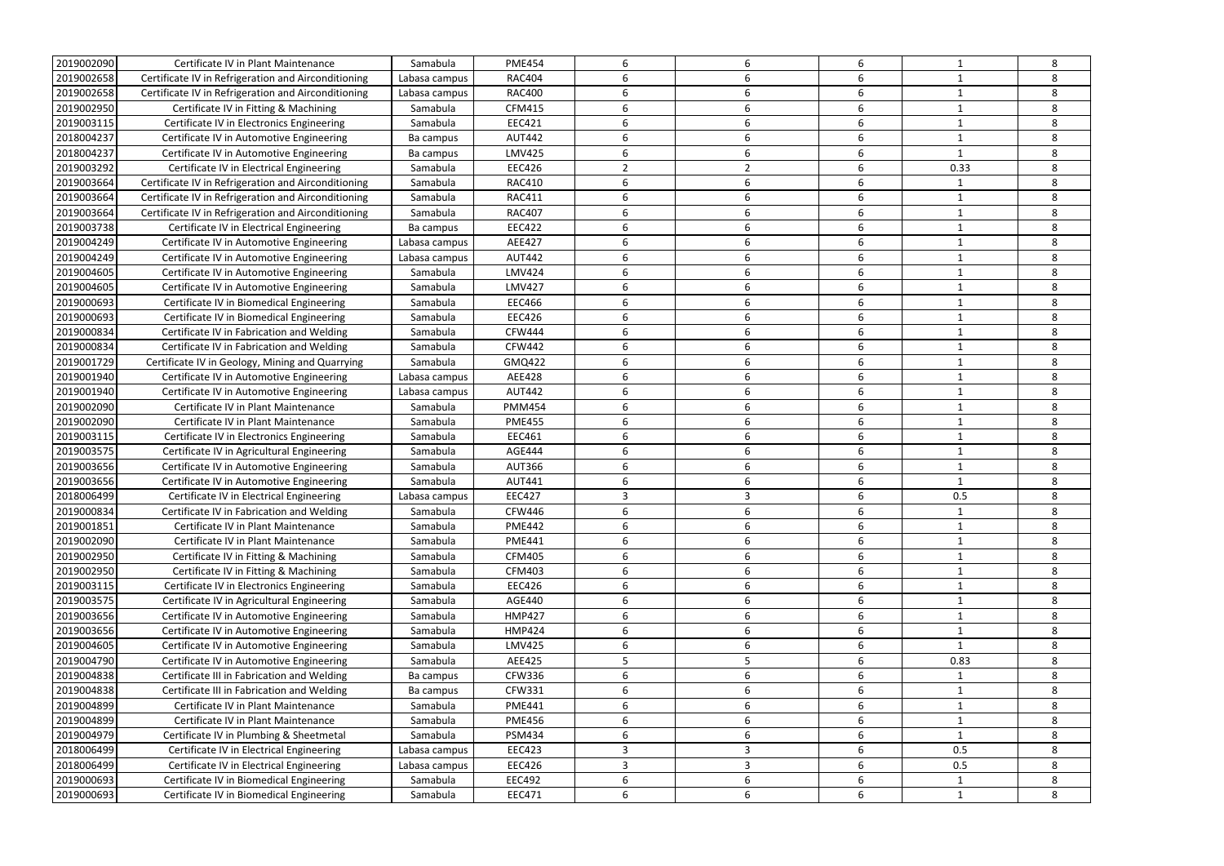| 2019002090 | Certificate IV in Plant Maintenance                 | Samabula                  | <b>PME454</b> | 6              | 6 | 6                |              | 8 |
|------------|-----------------------------------------------------|---------------------------|---------------|----------------|---|------------------|--------------|---|
| 2019002658 | Certificate IV in Refrigeration and Airconditioning | Labasa campus             | <b>RAC404</b> | 6              | 6 | 6                |              | 8 |
| 2019002658 | Certificate IV in Refrigeration and Airconditioning | Labasa campus             | <b>RAC400</b> | 6              | 6 | 6                |              | 8 |
| 2019002950 | Certificate IV in Fitting & Machining               | Samabula                  | <b>CFM415</b> | 6              | 6 | 6                |              | 8 |
| 2019003115 | Certificate IV in Electronics Engineering           | Samabula                  | <b>EEC421</b> | 6              | 6 | 6                |              | 8 |
| 2018004237 | Certificate IV in Automotive Engineering            | Ba campus                 | <b>AUT442</b> | 6              | 6 | 6                |              | 8 |
| 2018004237 | Certificate IV in Automotive Engineering            | Ba campus                 | <b>LMV425</b> | 6              | 6 | 6                |              | 8 |
| 2019003292 | Certificate IV in Electrical Engineering            | Samabula                  | <b>EEC426</b> | $\overline{2}$ | 2 | 6                | 0.33         | 8 |
| 2019003664 | Certificate IV in Refrigeration and Airconditioning | Samabula                  | <b>RAC410</b> | 6              | 6 | 6                | -1           | 8 |
| 2019003664 | Certificate IV in Refrigeration and Airconditioning | Samabula                  | <b>RAC411</b> | 6              | 6 | 6                |              | 8 |
| 2019003664 | Certificate IV in Refrigeration and Airconditioning | Samabula                  | <b>RAC407</b> | 6              | 6 | 6                |              | 8 |
| 2019003738 | Certificate IV in Electrical Engineering            | Ba campus                 | <b>EEC422</b> | 6              | 6 | 6                |              | 8 |
| 2019004249 | Certificate IV in Automotive Engineering            | Labasa campus             | AEE427        | 6              | 6 | 6                |              | 8 |
| 2019004249 | Certificate IV in Automotive Engineering            | Labasa campus             | <b>AUT442</b> | 6              | 6 | 6                |              | 8 |
| 2019004605 | Certificate IV in Automotive Engineering            | Samabula                  | <b>LMV424</b> | 6              | 6 | 6                |              | 8 |
| 2019004605 | Certificate IV in Automotive Engineering            | Samabula                  | <b>LMV427</b> | 6              | 6 | 6                |              | 8 |
| 2019000693 | Certificate IV in Biomedical Engineering            | Samabula                  | <b>EEC466</b> | 6              | 6 | 6                |              | 8 |
| 2019000693 | Certificate IV in Biomedical Engineering            | Samabula                  | <b>EEC426</b> | 6              | 6 | 6                |              | 8 |
| 2019000834 | Certificate IV in Fabrication and Welding           | Samabula                  | <b>CFW444</b> | 6              | 6 | 6                |              | 8 |
| 2019000834 | Certificate IV in Fabrication and Welding           | Samabula                  | <b>CFW442</b> | 6              | 6 | 6                |              | 8 |
| 2019001729 | Certificate IV in Geology, Mining and Quarrying     | Samabula                  | GMQ422        | 6              | 6 | 6                |              | 8 |
| 2019001940 | Certificate IV in Automotive Engineering            | Labasa campus             | <b>AEE428</b> | 6              | 6 | 6                |              | 8 |
| 2019001940 | Certificate IV in Automotive Engineering            | Labasa campus             | <b>AUT442</b> | 6              | 6 | 6                | -1           | 8 |
| 2019002090 | Certificate IV in Plant Maintenance                 | Samabula                  | <b>PMM454</b> | 6              | 6 | 6                |              | 8 |
| 2019002090 | Certificate IV in Plant Maintenance                 | Samabula                  | <b>PME455</b> | 6              | 6 | 6                |              | 8 |
| 2019003115 | Certificate IV in Electronics Engineering           | Samabula                  | EEC461        | 6              | 6 | 6                |              | 8 |
| 2019003575 | Certificate IV in Agricultural Engineering          | Samabula                  | <b>AGE444</b> | 6              | 6 | 6                |              | 8 |
| 2019003656 | Certificate IV in Automotive Engineering            | Samabula                  | <b>AUT366</b> | 6              | 6 | 6                | -1           | 8 |
| 2019003656 | Certificate IV in Automotive Engineering            | Samabula                  | <b>AUT441</b> | 6              | 6 | 6                | $\mathbf 1$  | 8 |
| 2018006499 | Certificate IV in Electrical Engineering            |                           | <b>EEC427</b> | 3              | 3 | 6                | 0.5          | 8 |
| 2019000834 | Certificate IV in Fabrication and Welding           | Labasa campus<br>Samabula | <b>CFW446</b> |                |   |                  |              | 8 |
| 2019001851 | Certificate IV in Plant Maintenance                 | Samabula                  | <b>PME442</b> | 6              | 6 | 6                |              | 8 |
| 2019002090 |                                                     |                           |               | 6              |   | 6                | 1            | 8 |
|            | Certificate IV in Plant Maintenance                 | Samabula                  | <b>PME441</b> |                | 6 |                  |              |   |
| 2019002950 | Certificate IV in Fitting & Machining               | Samabula                  | <b>CFM405</b> | 6              | 6 | 6                |              | 8 |
| 2019002950 | Certificate IV in Fitting & Machining               | Samabula                  | <b>CFM403</b> | 6              | 6 | 6                | -1           | 8 |
| 2019003115 | Certificate IV in Electronics Engineering           | Samabula                  | <b>EEC426</b> | 6              | 6 | 6                |              | 8 |
| 2019003575 | Certificate IV in Agricultural Engineering          | Samabula                  | AGE440        | 6              | 6 | 6                | 1            | 8 |
| 2019003656 | Certificate IV in Automotive Engineering            | Samabula                  | <b>HMP427</b> | 6              | 6 | 6                |              | 8 |
| 2019003656 | Certificate IV in Automotive Engineering            | Samabula                  | <b>HMP424</b> | 6              | 6 | $\boldsymbol{6}$ |              | 8 |
| 2019004605 | Certificate IV in Automotive Engineering            | Samabula                  | LMV425        | 6              | 6 | 6                |              | 8 |
| 2019004790 | Certificate IV in Automotive Engineering            | Samabula                  | AEE425        | 5              | 5 | 6                | 0.83         | 8 |
| 2019004838 | Certificate III in Fabrication and Welding          | Ba campus                 | <b>CFW336</b> | 6              | 6 | 6                |              | 8 |
| 2019004838 | Certificate III in Fabrication and Welding          | Ba campus                 | CFW331        | 6              | 6 | 6                | $\mathbf{1}$ | 8 |
| 2019004899 | Certificate IV in Plant Maintenance                 | Samabula                  | <b>PME441</b> | 6              | 6 | $\boldsymbol{6}$ | 1            | 8 |
| 2019004899 | Certificate IV in Plant Maintenance                 | Samabula                  | <b>PME456</b> | 6              | 6 | 6                |              | 8 |
| 2019004979 | Certificate IV in Plumbing & Sheetmetal             | Samabula                  | <b>PSM434</b> | 6              | 6 | 6                | $\mathbf{1}$ | 8 |
| 2018006499 | Certificate IV in Electrical Engineering            | Labasa campus             | <b>EEC423</b> | 3              | 3 | 6                | 0.5          | 8 |
| 2018006499 | Certificate IV in Electrical Engineering            | Labasa campus             | <b>EEC426</b> | 3              | 3 | 6                | 0.5          | 8 |
| 2019000693 | Certificate IV in Biomedical Engineering            | Samabula                  | <b>EEC492</b> | 6              | 6 | $\boldsymbol{6}$ | $\mathbf{1}$ | 8 |
| 2019000693 | Certificate IV in Biomedical Engineering            | Samabula                  | EEC471        | 6              | 6 | 6                | $\mathbf{1}$ | 8 |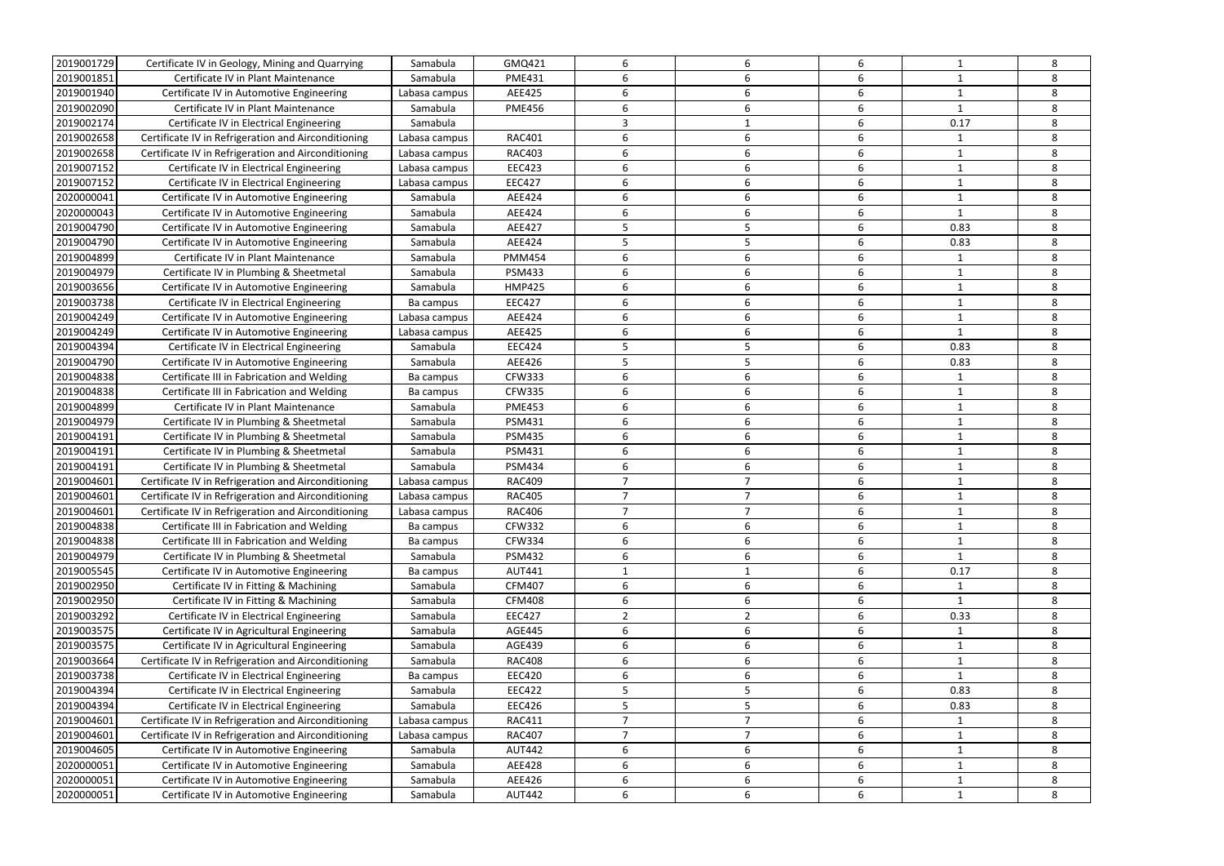| 2019001729 | Certificate IV in Geology, Mining and Quarrying     | Samabula      | GMQ421        | 6              | 6              | 6                | 1            | 8 |
|------------|-----------------------------------------------------|---------------|---------------|----------------|----------------|------------------|--------------|---|
| 2019001851 | Certificate IV in Plant Maintenance                 | Samabula      | <b>PME431</b> | 6              | 6              | 6                | $\mathbf{1}$ | 8 |
| 2019001940 | Certificate IV in Automotive Engineering            | Labasa campus | AEE425        | 6              | 6              | 6                | -1           | 8 |
| 2019002090 | Certificate IV in Plant Maintenance                 | Samabula      | <b>PME456</b> | 6              | 6              | $\boldsymbol{6}$ | $\mathbf{1}$ | 8 |
| 2019002174 | Certificate IV in Electrical Engineering            | Samabula      |               | 3              |                | 6                | 0.17         | 8 |
| 2019002658 | Certificate IV in Refrigeration and Airconditioning | Labasa campus | <b>RAC401</b> | 6              | 6              | 6                | 1            | 8 |
| 2019002658 | Certificate IV in Refrigeration and Airconditioning | Labasa campus | <b>RAC403</b> | 6              | 6              | 6                | $\mathbf{1}$ | 8 |
| 2019007152 | Certificate IV in Electrical Engineering            | Labasa campus | <b>EEC423</b> | 6              | 6              | 6                | -1           | 8 |
| 2019007152 | Certificate IV in Electrical Engineering            | Labasa campus | <b>EEC427</b> | 6              | 6              | 6                | $\mathbf{1}$ | 8 |
| 2020000041 | Certificate IV in Automotive Engineering            | Samabula      | AEE424        | 6              | 6              | 6                | -1           | 8 |
| 2020000043 | Certificate IV in Automotive Engineering            | Samabula      | AEE424        | 6              | 6              | 6                | $\mathbf{1}$ | 8 |
| 2019004790 | Certificate IV in Automotive Engineering            | Samabula      | AEE427        | 5              | 5              | 6                | 0.83         | 8 |
| 2019004790 | Certificate IV in Automotive Engineering            | Samabula      | AEE424        | 5              | 5              | 6                | 0.83         | 8 |
| 2019004899 | Certificate IV in Plant Maintenance                 | Samabula      | <b>PMM454</b> | 6              | 6              | 6                | 1            | 8 |
| 2019004979 | Certificate IV in Plumbing & Sheetmetal             | Samabula      | <b>PSM433</b> | 6              | 6              | 6                | $\mathbf{1}$ | 8 |
| 2019003656 | Certificate IV in Automotive Engineering            | Samabula      | <b>HMP425</b> | 6              | 6              | 6                | 1            | 8 |
| 2019003738 | Certificate IV in Electrical Engineering            | Ba campus     | <b>EEC427</b> | 6              | 6              | 6                | $\mathbf{1}$ | 8 |
| 2019004249 | Certificate IV in Automotive Engineering            | Labasa campus | AEE424        | 6              | 6              | 6                | $\mathbf{1}$ | 8 |
| 2019004249 | Certificate IV in Automotive Engineering            | Labasa campus | AEE425        | 6              | 6              | 6                | -1           | 8 |
| 2019004394 | Certificate IV in Electrical Engineering            | Samabula      | <b>EEC424</b> | 5              | 5              | 6                | 0.83         | 8 |
| 2019004790 | Certificate IV in Automotive Engineering            | Samabula      | AEE426        | 5              | 5              | 6                | 0.83         | 8 |
| 2019004838 | Certificate III in Fabrication and Welding          | Ba campus     | <b>CFW333</b> | 6              | 6              | 6                | 1            | 8 |
| 2019004838 | Certificate III in Fabrication and Welding          | Ba campus     | <b>CFW335</b> | 6              | 6              | 6                | $\mathbf{1}$ | 8 |
| 2019004899 | Certificate IV in Plant Maintenance                 | Samabula      | <b>PME453</b> | 6              | 6              | 6                | $\mathbf{1}$ | 8 |
| 2019004979 | Certificate IV in Plumbing & Sheetmetal             | Samabula      | <b>PSM431</b> | 6              | 6              | 6                | $\mathbf{1}$ | 8 |
| 2019004191 | Certificate IV in Plumbing & Sheetmetal             | Samabula      | <b>PSM435</b> | 6              | 6              | 6                | $\mathbf{1}$ | 8 |
| 2019004191 | Certificate IV in Plumbing & Sheetmetal             | Samabula      | <b>PSM431</b> | 6              | 6              | 6                | $\mathbf{1}$ | 8 |
| 2019004191 | Certificate IV in Plumbing & Sheetmetal             | Samabula      | <b>PSM434</b> | 6              | 6              | 6                | -1           | 8 |
| 2019004601 | Certificate IV in Refrigeration and Airconditioning | Labasa campus | <b>RAC409</b> | 7              | 7              | 6                |              | 8 |
| 2019004601 | Certificate IV in Refrigeration and Airconditioning | Labasa campus | <b>RAC405</b> | 7              | $\overline{7}$ | 6                | $\mathbf{1}$ | 8 |
| 2019004601 | Certificate IV in Refrigeration and Airconditioning | Labasa campus | <b>RAC406</b> |                |                |                  |              | 8 |
| 2019004838 | Certificate III in Fabrication and Welding          | Ba campus     | <b>CFW332</b> | 6              | 6              | 6                | 1            | 8 |
| 2019004838 | Certificate III in Fabrication and Welding          | Ba campus     | <b>CFW334</b> | 6              | 6              | 6                | $\mathbf{1}$ | 8 |
| 2019004979 | Certificate IV in Plumbing & Sheetmetal             | Samabula      | <b>PSM432</b> | 6              | 6              | 6                | $\mathbf{1}$ | 8 |
| 2019005545 | Certificate IV in Automotive Engineering            | Ba campus     | <b>AUT441</b> | $\mathbf{1}$   |                | 6                | 0.17         | 8 |
| 2019002950 | Certificate IV in Fitting & Machining               | Samabula      | <b>CFM407</b> | 6              | 6              | 6                |              | 8 |
| 2019002950 | Certificate IV in Fitting & Machining               | Samabula      | <b>CFM408</b> | 6              | 6              | 6                | $\mathbf{1}$ | 8 |
| 2019003292 | Certificate IV in Electrical Engineering            | Samabula      | <b>EEC427</b> | $\overline{2}$ | 2              | 6                | 0.33         | 8 |
| 2019003575 | Certificate IV in Agricultural Engineering          | Samabula      | <b>AGE445</b> | 6              | 6              | 6                | 1            | 8 |
| 2019003575 | Certificate IV in Agricultural Engineering          | Samabula      | <b>AGE439</b> | 6              | 6              | 6                | $\mathbf{1}$ | 8 |
| 2019003664 | Certificate IV in Refrigeration and Airconditioning | Samabula      | <b>RAC408</b> | 6              | 6              | 6                | -1           | 8 |
| 2019003738 | Certificate IV in Electrical Engineering            | Ba campus     | <b>EEC420</b> | 6              | 6              | 6                | $\mathbf{1}$ | 8 |
| 2019004394 | Certificate IV in Electrical Engineering            | Samabula      | <b>EEC422</b> | 5              | 5              | 6                | 0.83         | 8 |
| 2019004394 | Certificate IV in Electrical Engineering            | Samabula      | <b>EEC426</b> | 5              | 5              | 6                | 0.83         | 8 |
| 2019004601 | Certificate IV in Refrigeration and Airconditioning | Labasa campus | <b>RAC411</b> | $\overline{7}$ | $\overline{7}$ | 6                | 1            | 8 |
| 2019004601 | Certificate IV in Refrigeration and Airconditioning | Labasa campus | <b>RAC407</b> | $\overline{7}$ | $\overline{7}$ | 6                | 1            | 8 |
| 2019004605 | Certificate IV in Automotive Engineering            | Samabula      | <b>AUT442</b> | 6              | 6              | 6                | 1            | 8 |
| 2020000051 | Certificate IV in Automotive Engineering            | Samabula      | <b>AEE428</b> | 6              | 6              | 6                | 1            | 8 |
| 2020000051 | Certificate IV in Automotive Engineering            | Samabula      | AEE426        | 6              | 6              | 6                | $\mathbf{1}$ | 8 |
| 2020000051 | Certificate IV in Automotive Engineering            | Samabula      | <b>AUT442</b> | 6              | 6              | 6                | 1            | 8 |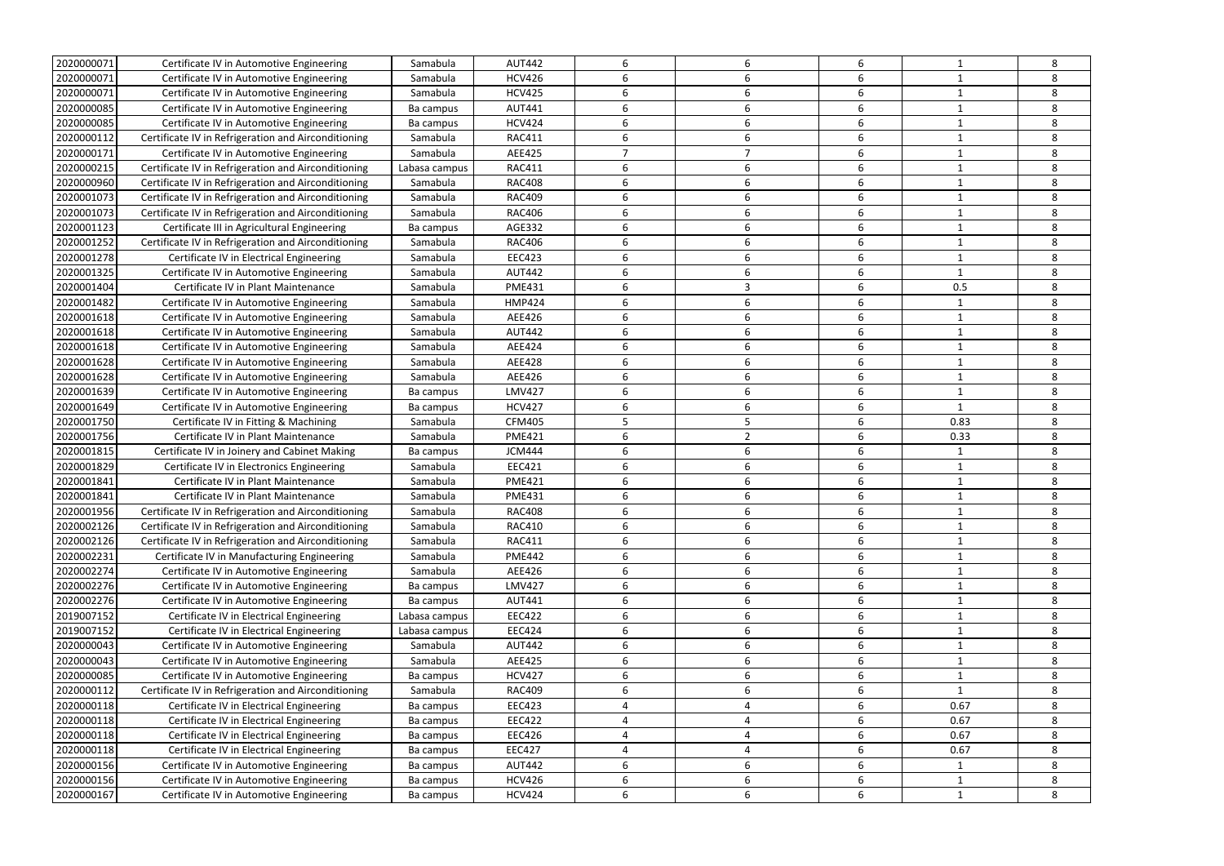| 2020000071 | Certificate IV in Automotive Engineering            | Samabula      | <b>AUT442</b> | 6              | 6 | 6 |              | 8 |
|------------|-----------------------------------------------------|---------------|---------------|----------------|---|---|--------------|---|
| 2020000071 | Certificate IV in Automotive Engineering            | Samabula      | <b>HCV426</b> | 6              |   | 6 |              | 8 |
| 2020000071 | Certificate IV in Automotive Engineering            | Samabula      | <b>HCV425</b> | 6              | 6 | 6 |              | 8 |
| 2020000085 | Certificate IV in Automotive Engineering            | Ba campus     | AUT441        | 6              | 6 | 6 |              | 8 |
| 2020000085 | Certificate IV in Automotive Engineering            | Ba campus     | <b>HCV424</b> | 6              | 6 | 6 |              | 8 |
| 2020000112 | Certificate IV in Refrigeration and Airconditioning | Samabula      | <b>RAC411</b> | 6              | 6 | 6 |              | 8 |
| 2020000171 | Certificate IV in Automotive Engineering            | Samabula      | AEE425        | $\overline{7}$ | ⇁ | 6 |              | 8 |
| 2020000215 | Certificate IV in Refrigeration and Airconditioning | Labasa campus | <b>RAC411</b> | 6              | 6 | 6 |              | 8 |
| 2020000960 | Certificate IV in Refrigeration and Airconditioning | Samabula      | <b>RAC408</b> | 6              | 6 | 6 |              | 8 |
| 2020001073 | Certificate IV in Refrigeration and Airconditioning | Samabula      | <b>RAC409</b> | 6              | 6 | 6 |              | 8 |
| 2020001073 | Certificate IV in Refrigeration and Airconditioning | Samabula      | <b>RAC406</b> | 6              | 6 | 6 |              | 8 |
| 2020001123 | Certificate III in Agricultural Engineering         | Ba campus     | AGE332        | 6              | 6 | 6 |              | 8 |
| 2020001252 | Certificate IV in Refrigeration and Airconditioning | Samabula      | <b>RAC406</b> | 6              | 6 | 6 |              | 8 |
| 2020001278 | Certificate IV in Electrical Engineering            | Samabula      | <b>EEC423</b> | 6              | 6 | 6 | 1            | 8 |
| 2020001325 | Certificate IV in Automotive Engineering            | Samabula      | <b>AUT442</b> | 6              | 6 | 6 | -1           | 8 |
| 2020001404 | Certificate IV in Plant Maintenance                 | Samabula      | <b>PME431</b> | 6              | 3 | 6 | 0.5          | 8 |
| 2020001482 | Certificate IV in Automotive Engineering            | Samabula      | <b>HMP424</b> | 6              | 6 | 6 |              | 8 |
| 2020001618 | Certificate IV in Automotive Engineering            | Samabula      | AEE426        | 6              | 6 | 6 |              | 8 |
| 2020001618 | Certificate IV in Automotive Engineering            | Samabula      | <b>AUT442</b> | 6              | 6 | 6 |              | 8 |
| 2020001618 | Certificate IV in Automotive Engineering            | Samabula      | AEE424        | 6              | 6 | 6 |              | 8 |
| 2020001628 | Certificate IV in Automotive Engineering            | Samabula      | <b>AEE428</b> | 6              | 6 | 6 |              | 8 |
| 2020001628 | Certificate IV in Automotive Engineering            | Samabula      | AEE426        | 6              | 6 | 6 |              | 8 |
| 2020001639 | Certificate IV in Automotive Engineering            | Ba campus     | <b>LMV427</b> | 6              | 6 | 6 | 1            | 8 |
| 2020001649 | Certificate IV in Automotive Engineering            | Ba campus     | <b>HCV427</b> | 6              | 6 | 6 | $\mathbf{1}$ | 8 |
| 2020001750 | Certificate IV in Fitting & Machining               | Samabula      | <b>CFM405</b> | 5              | 5 | 6 | 0.83         | 8 |
| 2020001756 | Certificate IV in Plant Maintenance                 | Samabula      | <b>PME421</b> | 6              | 2 | 6 | 0.33         | 8 |
| 2020001815 | Certificate IV in Joinery and Cabinet Making        | Ba campus     | <b>JCM444</b> | 6              | 6 | 6 |              | 8 |
| 2020001829 | Certificate IV in Electronics Engineering           | Samabula      | EEC421        | 6              | 6 | 6 |              | 8 |
| 2020001841 | Certificate IV in Plant Maintenance                 | Samabula      | <b>PME421</b> | 6              | 6 | 6 |              | 8 |
| 2020001841 | Certificate IV in Plant Maintenance                 | Samabula      | <b>PME431</b> | 6              |   | 6 |              | 8 |
| 2020001956 | Certificate IV in Refrigeration and Airconditioning | Samabula      | <b>RAC408</b> |                |   |   |              | 8 |
| 2020002126 | Certificate IV in Refrigeration and Airconditioning | Samabula      | <b>RAC410</b> | 6              | 6 | 6 | 1            | 8 |
| 2020002126 | Certificate IV in Refrigeration and Airconditioning | Samabula      | <b>RAC411</b> | 6              | 6 | 6 | $\mathbf{1}$ | 8 |
| 2020002231 | Certificate IV in Manufacturing Engineering         | Samabula      | <b>PME442</b> | 6              | 6 | 6 |              | 8 |
| 2020002274 | Certificate IV in Automotive Engineering            | Samabula      | AEE426        | 6              | 6 | 6 | 1            | 8 |
| 2020002276 | Certificate IV in Automotive Engineering            | Ba campus     | <b>LMV427</b> | 6              | 6 | 6 |              | 8 |
| 2020002276 | Certificate IV in Automotive Engineering            | Ba campus     | AUT441        | 6              | 6 | 6 |              | 8 |
| 2019007152 | Certificate IV in Electrical Engineering            | Labasa campus | <b>EEC422</b> | 6              | 6 | 6 |              | 8 |
| 2019007152 | Certificate IV in Electrical Engineering            | Labasa campus | <b>EEC424</b> | 6              | 6 | 6 |              | 8 |
| 2020000043 | Certificate IV in Automotive Engineering            | Samabula      | <b>AUT442</b> | 6              | 6 | 6 | $\mathbf 1$  | 8 |
| 2020000043 | Certificate IV in Automotive Engineering            | Samabula      | AEE425        | 6              | 6 | 6 | -1           | 8 |
| 2020000085 | Certificate IV in Automotive Engineering            | Ba campus     | <b>HCV427</b> | 6              | 6 | 6 |              | 8 |
| 2020000112 | Certificate IV in Refrigeration and Airconditioning | Samabula      | <b>RAC409</b> | 6              | 6 | 6 | 1            | 8 |
| 2020000118 | Certificate IV in Electrical Engineering            | Ba campus     | <b>EEC423</b> | 4              | 4 | 6 | 0.67         | 8 |
| 2020000118 | Certificate IV in Electrical Engineering            | Ba campus     | <b>EEC422</b> | 4              | 4 | 6 | 0.67         | 8 |
| 2020000118 | Certificate IV in Electrical Engineering            | Ba campus     | <b>EEC426</b> | 4              | 4 | 6 | 0.67         | 8 |
| 2020000118 | Certificate IV in Electrical Engineering            | Ba campus     | <b>EEC427</b> | 4              | 4 | 6 | 0.67         | 8 |
| 2020000156 | Certificate IV in Automotive Engineering            | Ba campus     | <b>AUT442</b> | 6              | 6 | 6 | 1            | 8 |
| 2020000156 | Certificate IV in Automotive Engineering            | Ba campus     | <b>HCV426</b> | 6              | 6 | 6 | 1            | 8 |
| 2020000167 | Certificate IV in Automotive Engineering            | Ba campus     | <b>HCV424</b> | 6              | 6 | 6 | 1            | 8 |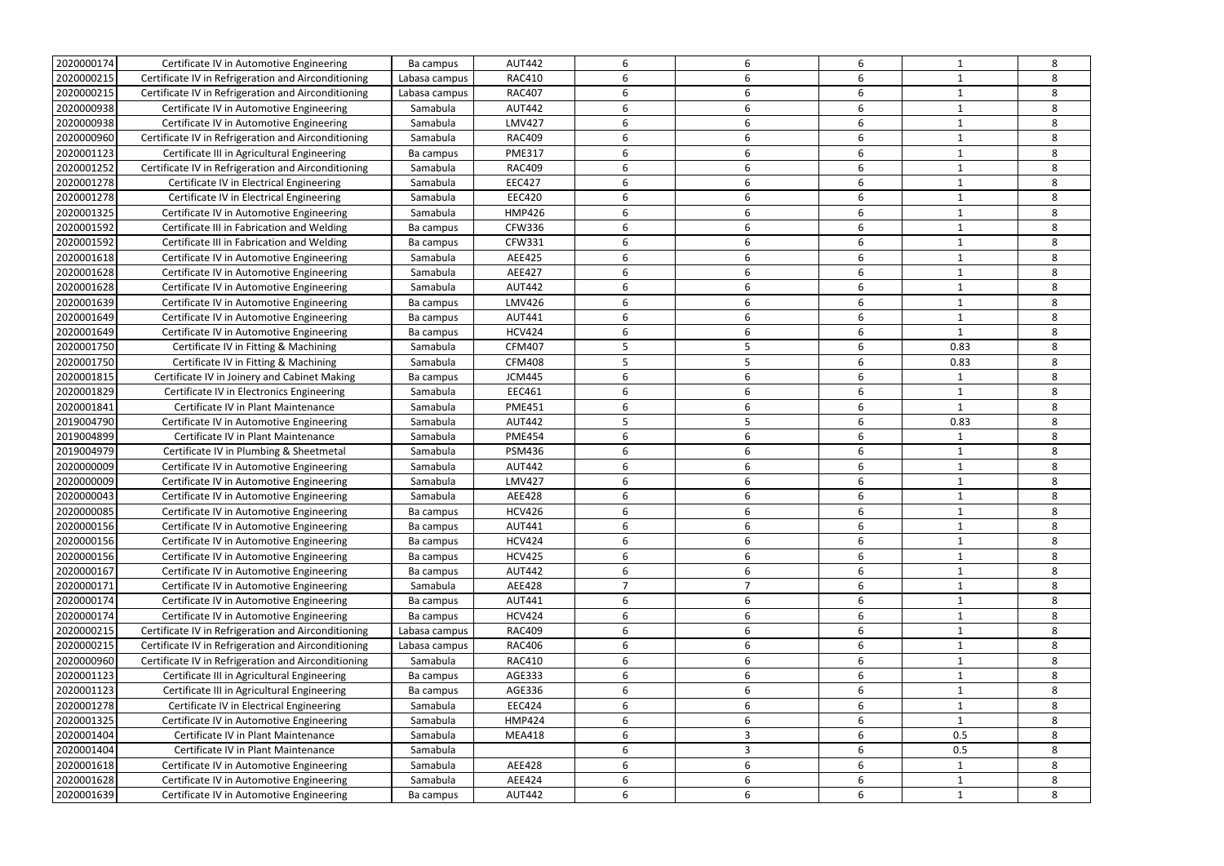| 2020000174               | Certificate IV in Automotive Engineering            | Ba campus             | <b>AUT442</b> | 6              | 6              | 6      |              | 8 |
|--------------------------|-----------------------------------------------------|-----------------------|---------------|----------------|----------------|--------|--------------|---|
| 2020000215               | Certificate IV in Refrigeration and Airconditioning | Labasa campus         | <b>RAC410</b> | 6              |                | 6      |              | 8 |
| 2020000215               | Certificate IV in Refrigeration and Airconditioning | Labasa campus         | <b>RAC407</b> | 6              | 6              | 6      |              | 8 |
| 2020000938               | Certificate IV in Automotive Engineering            | Samabula              | <b>AUT442</b> | 6              | 6              | 6      |              | 8 |
| 2020000938               | Certificate IV in Automotive Engineering            | Samabula              | <b>LMV427</b> | 6              | 6              | 6      |              | 8 |
| 2020000960               | Certificate IV in Refrigeration and Airconditioning | Samabula              | <b>RAC409</b> | 6              | 6              | 6      |              | 8 |
| 2020001123               | Certificate III in Agricultural Engineering         | Ba campus             | <b>PME317</b> | 6              | 6              | 6      |              | 8 |
| 2020001252               | Certificate IV in Refrigeration and Airconditioning | Samabula              | <b>RAC409</b> | 6              | 6              | 6      |              | 8 |
| 2020001278               | Certificate IV in Electrical Engineering            | Samabula              | <b>EEC427</b> | 6              | 6              | 6      |              | 8 |
| 2020001278               | Certificate IV in Electrical Engineering            | Samabula              | <b>EEC420</b> | 6              | 6              | 6      |              | 8 |
| 2020001325               | Certificate IV in Automotive Engineering            | Samabula              | <b>HMP426</b> | 6              | 6              | 6      |              | 8 |
| 2020001592               | Certificate III in Fabrication and Welding          | Ba campus             | <b>CFW336</b> | 6              | 6              | 6      |              | 8 |
| 2020001592               | Certificate III in Fabrication and Welding          | Ba campus             | <b>CFW331</b> | 6              | 6              | 6      |              | 8 |
| 2020001618               | Certificate IV in Automotive Engineering            | Samabula              | AEE425        | 6              | 6              | 6      | -1           | 8 |
| 2020001628               | Certificate IV in Automotive Engineering            | Samabula              | <b>AEE427</b> | 6              | 6              | 6      |              | 8 |
| 2020001628               | Certificate IV in Automotive Engineering            | Samabula              | <b>AUT442</b> | 6              | 6              | 6      |              | 8 |
| 2020001639               | Certificate IV in Automotive Engineering            | Ba campus             | <b>LMV426</b> | 6              | 6              | 6      |              | 8 |
| 2020001649               | Certificate IV in Automotive Engineering            | Ba campus             | AUT441        | 6              | 6              | 6      |              | 8 |
| 2020001649               | Certificate IV in Automotive Engineering            | Ba campus             | <b>HCV424</b> | 6              | 6              | 6      |              | 8 |
| 2020001750               | Certificate IV in Fitting & Machining               | Samabula              | <b>CFM407</b> | 5              | 5              | 6      | 0.83         | 8 |
| 2020001750               | Certificate IV in Fitting & Machining               | Samabula              | <b>CFM408</b> | 5              |                | 6      | 0.83         | 8 |
| 2020001815               | Certificate IV in Joinery and Cabinet Making        |                       | <b>JCM445</b> | 6              | 6              | 6      | -1           | 8 |
| 2020001829               | Certificate IV in Electronics Engineering           | Ba campus<br>Samabula | EEC461        | 6              | 6              | 6      | 1            | 8 |
| 2020001841               | Certificate IV in Plant Maintenance                 | Samabula              | <b>PME451</b> | 6              | 6              | 6      | $\mathbf{1}$ | 8 |
|                          |                                                     |                       |               | 5              | 5              | 6      |              |   |
| 2019004790               | Certificate IV in Automotive Engineering            | Samabula              | <b>AUT442</b> |                |                |        | 0.83         | 8 |
| 2019004899               | Certificate IV in Plant Maintenance                 | Samabula              | <b>PME454</b> | 6              | 6              | 6<br>6 |              | 8 |
| 2019004979               | Certificate IV in Plumbing & Sheetmetal             | Samabula              | <b>PSM436</b> | 6              | 6              |        |              | 8 |
| 2020000009<br>2020000009 | Certificate IV in Automotive Engineering            | Samabula              | <b>AUT442</b> | 6              | 6              | 6      |              | 8 |
|                          |                                                     |                       |               |                |                |        |              |   |
|                          | Certificate IV in Automotive Engineering            | Samabula              | <b>LMV427</b> | 6              | 6              | 6      |              | 8 |
| 2020000043               | Certificate IV in Automotive Engineering            | Samabula              | <b>AEE428</b> | 6              |                | 6      |              | 8 |
| 2020000085               | Certificate IV in Automotive Engineering            | Ba campus             | <b>HCV426</b> |                |                |        |              | 8 |
| 2020000156               | Certificate IV in Automotive Engineering            | Ba campus             | <b>AUT441</b> | 6              | 6              | 6      | 1            | 8 |
| 2020000156               | Certificate IV in Automotive Engineering            | Ba campus             | <b>HCV424</b> | 6              | 6              | 6      | $\mathbf{1}$ | 8 |
| 2020000156               | Certificate IV in Automotive Engineering            | Ba campus             | <b>HCV425</b> | 6              | 6              | 6      |              | 8 |
| 2020000167               | Certificate IV in Automotive Engineering            | Ba campus             | <b>AUT442</b> | 6              | 6              | 6      | 1            | 8 |
| 2020000171               | Certificate IV in Automotive Engineering            | Samabula              | AEE428        | $\overline{7}$ | $\overline{7}$ | 6      |              | 8 |
| 2020000174               | Certificate IV in Automotive Engineering            | Ba campus             | AUT441        | 6              | 6              | 6      |              | 8 |
| 2020000174               | Certificate IV in Automotive Engineering            | Ba campus             | <b>HCV424</b> | 6              | 6              | 6      |              | 8 |
| 2020000215               | Certificate IV in Refrigeration and Airconditioning | Labasa campus         | <b>RAC409</b> | 6              | 6              | 6      |              | 8 |
| 2020000215               | Certificate IV in Refrigeration and Airconditioning | Labasa campus         | <b>RAC406</b> | 6              | 6              | 6      | $\mathbf 1$  | 8 |
| 2020000960               | Certificate IV in Refrigeration and Airconditioning | Samabula              | <b>RAC410</b> | 6              | 6              | 6      | -1           | 8 |
| 2020001123               | Certificate III in Agricultural Engineering         | Ba campus             | AGE333        | 6              | 6              | 6      |              | 8 |
| 2020001123               | Certificate III in Agricultural Engineering         | Ba campus             | AGE336        | 6              | 6              | 6      | 1            | 8 |
| 2020001278               | Certificate IV in Electrical Engineering            | Samabula              | <b>EEC424</b> | 6              | 6              | 6      |              | 8 |
| 2020001325               | Certificate IV in Automotive Engineering            | Samabula              | <b>HMP424</b> | 6              | 6              | 6      |              | 8 |
| 2020001404               | Certificate IV in Plant Maintenance                 | Samabula              | <b>MEA418</b> | 6              | 3              | 6      | 0.5          | 8 |
| 2020001404               | Certificate IV in Plant Maintenance                 | Samabula              |               | 6              | 3              | 6      | 0.5          | 8 |
| 2020001618               | Certificate IV in Automotive Engineering            | Samabula              | AEE428        | 6              | 6              | 6      |              | 8 |
| 2020001628               | Certificate IV in Automotive Engineering            | Samabula              | AEE424        | 6              | 6              | 6      | 1            | 8 |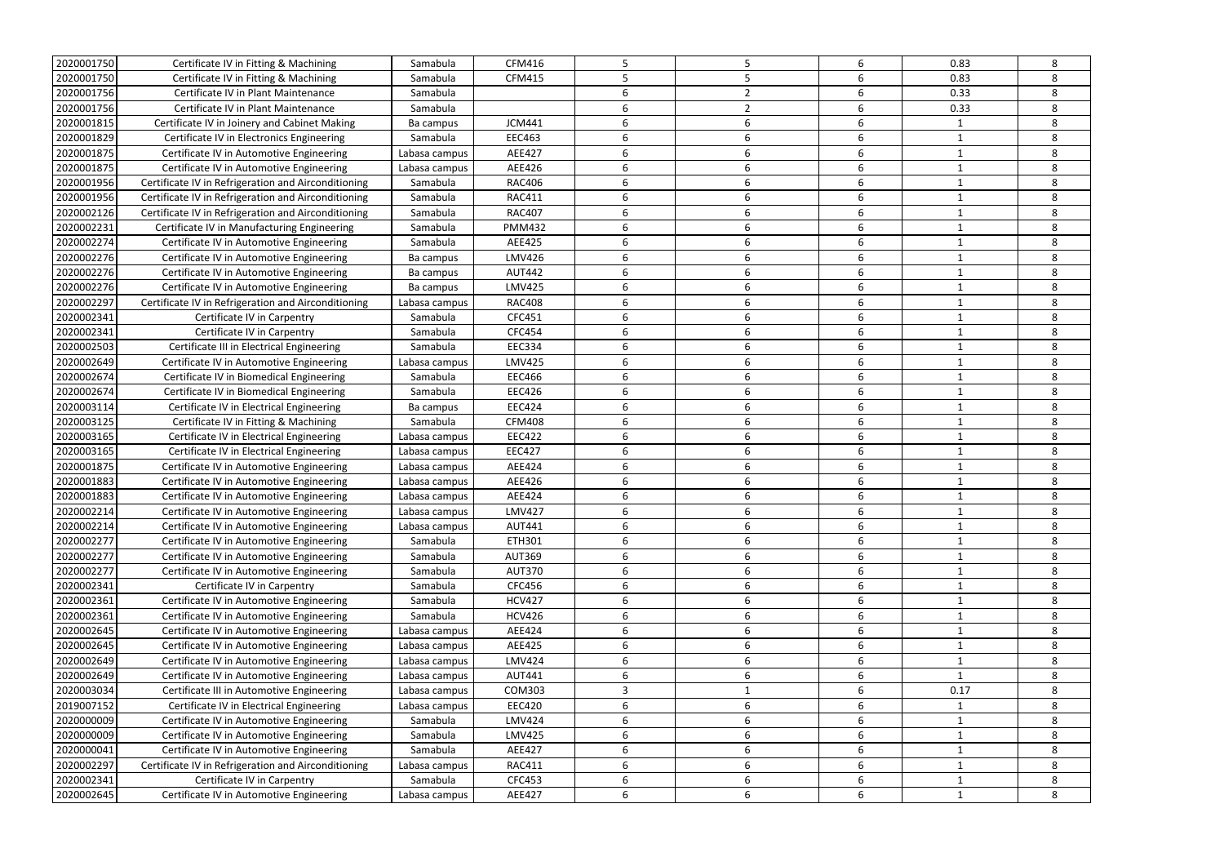| 2020001750 | Certificate IV in Fitting & Machining               | Samabula      | <b>CFM416</b> | 5 |                | 6 | 0.83         | 8 |
|------------|-----------------------------------------------------|---------------|---------------|---|----------------|---|--------------|---|
| 2020001750 | Certificate IV in Fitting & Machining               | Samabula      | <b>CFM415</b> |   |                | 6 | 0.83         | 8 |
| 2020001756 | Certificate IV in Plant Maintenance                 | Samabula      |               | 6 |                | 6 | 0.33         | 8 |
| 2020001756 | Certificate IV in Plant Maintenance                 | Samabula      |               | 6 | $\overline{2}$ | 6 | 0.33         | 8 |
| 2020001815 | Certificate IV in Joinery and Cabinet Making        | Ba campus     | <b>JCM441</b> | 6 | 6              | 6 | -1           | 8 |
| 2020001829 | Certificate IV in Electronics Engineering           | Samabula      | <b>EEC463</b> | 6 | 6              | 6 |              | 8 |
| 2020001875 | Certificate IV in Automotive Engineering            | Labasa campus | AEE427        | 6 | 6              | 6 |              | 8 |
| 2020001875 | Certificate IV in Automotive Engineering            | Labasa campus | AEE426        | 6 | 6              | 6 |              | 8 |
| 2020001956 | Certificate IV in Refrigeration and Airconditioning | Samabula      | <b>RAC406</b> | 6 | 6              | 6 |              | 8 |
| 2020001956 | Certificate IV in Refrigeration and Airconditioning | Samabula      | <b>RAC411</b> | 6 | 6              | 6 |              | 8 |
| 2020002126 | Certificate IV in Refrigeration and Airconditioning | Samabula      | <b>RAC407</b> | 6 | 6              | 6 |              | 8 |
| 2020002231 | Certificate IV in Manufacturing Engineering         | Samabula      | <b>PMM432</b> | 6 | 6              | 6 |              | 8 |
| 2020002274 | Certificate IV in Automotive Engineering            | Samabula      | AEE425        | 6 | 6              | 6 |              | 8 |
| 2020002276 | Certificate IV in Automotive Engineering            | Ba campus     | <b>LMV426</b> | 6 | 6              | 6 |              | 8 |
| 2020002276 | Certificate IV in Automotive Engineering            | Ba campus     | <b>AUT442</b> | 6 | 6              | 6 |              | 8 |
| 2020002276 | Certificate IV in Automotive Engineering            | Ba campus     | <b>LMV425</b> | 6 | 6              | 6 |              | 8 |
| 2020002297 | Certificate IV in Refrigeration and Airconditioning | Labasa campus | <b>RAC408</b> | 6 | 6              | 6 |              | 8 |
| 2020002341 | Certificate IV in Carpentry                         | Samabula      | CFC451        | 6 | 6              | 6 | -1           | 8 |
| 2020002341 | Certificate IV in Carpentry                         | Samabula      | CFC454        | 6 | 6              | 6 |              | 8 |
| 2020002503 | Certificate III in Electrical Engineering           | Samabula      | <b>EEC334</b> | 6 | 6              | 6 |              | 8 |
| 2020002649 | Certificate IV in Automotive Engineering            | Labasa campus | <b>LMV425</b> | 6 | 6              | 6 |              | 8 |
| 2020002674 | Certificate IV in Biomedical Engineering            | Samabula      | <b>EEC466</b> | 6 | 6              | 6 |              | 8 |
| 2020002674 | Certificate IV in Biomedical Engineering            | Samabula      | <b>EEC426</b> | 6 | 6              | 6 |              | 8 |
| 2020003114 | Certificate IV in Electrical Engineering            | Ba campus     | <b>EEC424</b> | 6 | 6              | 6 |              | 8 |
| 2020003125 | Certificate IV in Fitting & Machining               | Samabula      | <b>CFM408</b> | 6 | 6              | 6 | 1            | 8 |
| 2020003165 | Certificate IV in Electrical Engineering            | Labasa campus | <b>EEC422</b> | 6 | 6              | 6 |              | 8 |
| 2020003165 | Certificate IV in Electrical Engineering            | Labasa campus | <b>EEC427</b> | 6 | 6              | 6 |              | 8 |
| 2020001875 | Certificate IV in Automotive Engineering            | Labasa campus | AEE424        | 6 | 6              | 6 |              | 8 |
| 2020001883 | Certificate IV in Automotive Engineering            | Labasa campus | AEE426        | 6 | 6              | 6 |              | 8 |
| 2020001883 | Certificate IV in Automotive Engineering            | Labasa campus | AEE424        | 6 | 6              | 6 |              | 8 |
| 2020002214 | Certificate IV in Automotive Engineering            | Labasa campus | <b>LMV427</b> |   |                |   |              | 8 |
| 2020002214 | Certificate IV in Automotive Engineering            | Labasa campus | <b>AUT441</b> | 6 | 6              | 6 | 1            | 8 |
| 2020002277 | Certificate IV in Automotive Engineering            | Samabula      | ETH301        | 6 | 6              | 6 | $\mathbf{1}$ | 8 |
| 2020002277 | Certificate IV in Automotive Engineering            | Samabula      | <b>AUT369</b> | 6 | 6              | 6 |              | 8 |
| 2020002277 | Certificate IV in Automotive Engineering            | Samabula      | <b>AUT370</b> | 6 | 6              | 6 |              | 8 |
| 2020002341 | Certificate IV in Carpentry                         | Samabula      | CFC456        | 6 | 6              | 6 |              | 8 |
| 2020002361 | Certificate IV in Automotive Engineering            | Samabula      | <b>HCV427</b> | 6 | 6              | 6 | 1            | 8 |
| 2020002361 | Certificate IV in Automotive Engineering            | Samabula      | <b>HCV426</b> | 6 | 6              | 6 |              | 8 |
| 2020002645 | Certificate IV in Automotive Engineering            | Labasa campus | AEE424        | 6 | 6              | 6 | 1            | 8 |
| 2020002645 | Certificate IV in Automotive Engineering            | Labasa campus | AEE425        | 6 | 6              | 6 | $\mathbf{1}$ | 8 |
| 2020002649 | Certificate IV in Automotive Engineering            | Labasa campus | LMV424        | 6 | 6              | 6 |              | 8 |
| 2020002649 | Certificate IV in Automotive Engineering            | Labasa campus | <b>AUT441</b> | 6 | 6              | 6 | $\mathbf 1$  | 8 |
| 2020003034 | Certificate III in Automotive Engineering           | Labasa campus | COM303        | 3 |                | 6 | 0.17         | 8 |
| 2019007152 | Certificate IV in Electrical Engineering            | Labasa campus | <b>EEC420</b> | 6 | 6              | 6 | 1            | 8 |
| 2020000009 | Certificate IV in Automotive Engineering            | Samabula      | <b>LMV424</b> | 6 | 6              | 6 | 1            | 8 |
| 2020000009 | Certificate IV in Automotive Engineering            | Samabula      | <b>LMV425</b> | 6 | 6              | 6 | $\mathbf{1}$ | 8 |
| 2020000041 | Certificate IV in Automotive Engineering            | Samabula      | AEE427        | 6 | 6              | 6 | 1            | 8 |
| 2020002297 | Certificate IV in Refrigeration and Airconditioning | Labasa campus | <b>RAC411</b> | 6 | 6              | 6 |              | 8 |
| 2020002341 | Certificate IV in Carpentry                         | Samabula      | CFC453        | 6 | 6              | 6 |              | 8 |
| 2020002645 | Certificate IV in Automotive Engineering            | Labasa campus | AEE427        | 6 | 6              | 6 | 1            | 8 |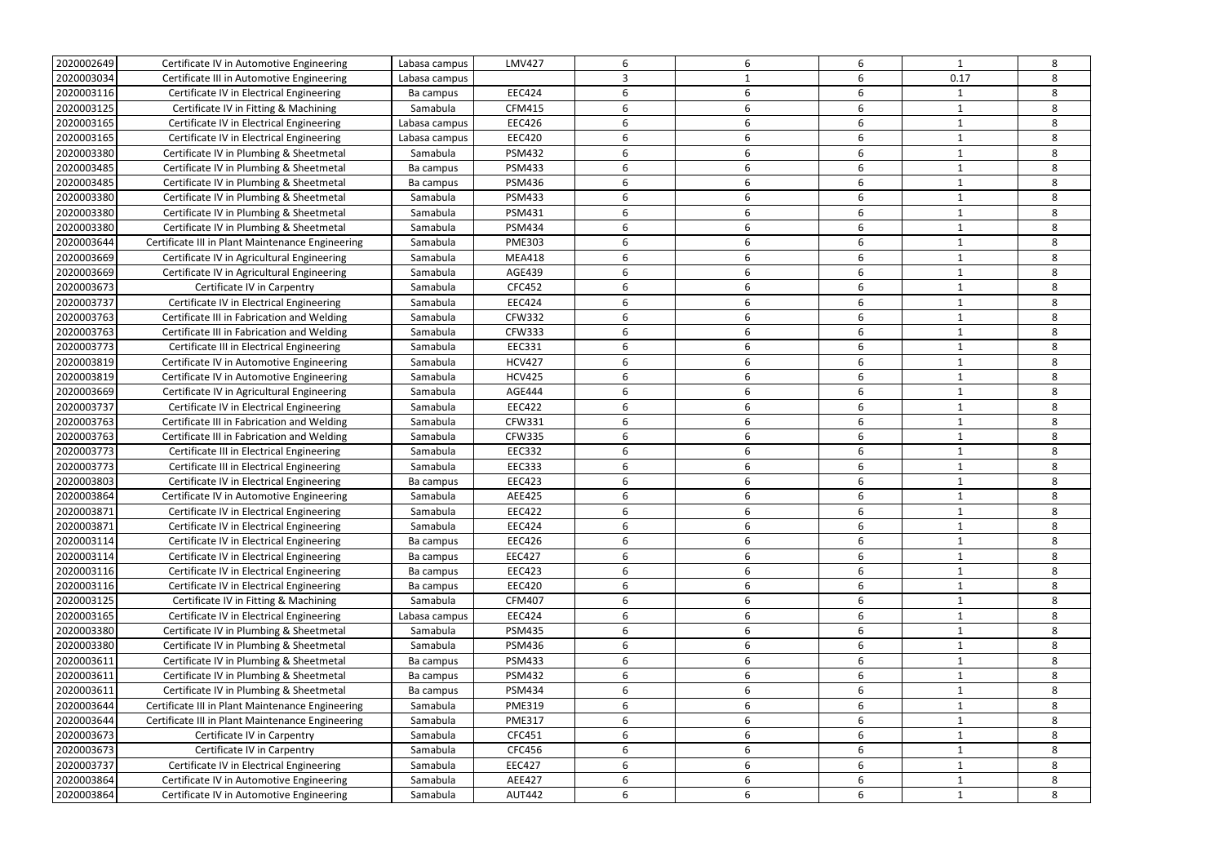| 2020002649 | Certificate IV in Automotive Engineering         | Labasa campus | <b>LMV427</b> | 6 | 6  | 6                | 1           | 8 |
|------------|--------------------------------------------------|---------------|---------------|---|----|------------------|-------------|---|
| 2020003034 | Certificate III in Automotive Engineering        | Labasa campus |               | 3 |    | 6                | 0.17        | 8 |
| 2020003116 | Certificate IV in Electrical Engineering         | Ba campus     | <b>EEC424</b> | 6 | 6  | 6                | -1          | 8 |
| 2020003125 | Certificate IV in Fitting & Machining            | Samabula      | <b>CFM415</b> | 6 | 6  | 6                |             | 8 |
| 2020003165 | Certificate IV in Electrical Engineering         | Labasa campus | <b>EEC426</b> | 6 | 6  | 6                |             | 8 |
| 2020003165 | Certificate IV in Electrical Engineering         | Labasa campus | <b>EEC420</b> | 6 |    | 6                |             | 8 |
| 2020003380 | Certificate IV in Plumbing & Sheetmetal          | Samabula      | <b>PSM432</b> | 6 | 6  | 6                |             | 8 |
| 2020003485 | Certificate IV in Plumbing & Sheetmetal          | Ba campus     | <b>PSM433</b> | 6 | 6  | 6                |             | 8 |
| 2020003485 | Certificate IV in Plumbing & Sheetmetal          | Ba campus     | <b>PSM436</b> | 6 | 6  | 6                | -1          | 8 |
| 2020003380 | Certificate IV in Plumbing & Sheetmetal          | Samabula      | <b>PSM433</b> | 6 | 6  | 6                | -1          | 8 |
| 2020003380 | Certificate IV in Plumbing & Sheetmetal          | Samabula      | <b>PSM431</b> | 6 | 6  | 6                |             | 8 |
| 2020003380 | Certificate IV in Plumbing & Sheetmetal          | Samabula      | <b>PSM434</b> | 6 | 6  | 6                |             | 8 |
| 2020003644 | Certificate III in Plant Maintenance Engineering | Samabula      | <b>PME303</b> | 6 | 6  | 6                |             | 8 |
| 2020003669 | Certificate IV in Agricultural Engineering       | Samabula      | <b>MEA418</b> | 6 | 6  | 6                |             | 8 |
| 2020003669 | Certificate IV in Agricultural Engineering       | Samabula      | <b>AGE439</b> | 6 | 6  | 6                |             | 8 |
| 2020003673 | Certificate IV in Carpentry                      | Samabula      | CFC452        | 6 | 6  | 6                |             | 8 |
| 2020003737 | Certificate IV in Electrical Engineering         | Samabula      | <b>EEC424</b> | 6 | 6  | 6                |             | 8 |
| 2020003763 | Certificate III in Fabrication and Welding       | Samabula      | <b>CFW332</b> | 6 | 6  | 6                | -1          | 8 |
| 2020003763 | Certificate III in Fabrication and Welding       | Samabula      | <b>CFW333</b> | 6 | 6  | 6                |             | 8 |
| 2020003773 | Certificate III in Electrical Engineering        | Samabula      | EEC331        | 6 | 6  | 6                |             | 8 |
| 2020003819 | Certificate IV in Automotive Engineering         | Samabula      | <b>HCV427</b> | 6 | 6  | 6                |             | 8 |
| 2020003819 | Certificate IV in Automotive Engineering         | Samabula      | <b>HCV425</b> | 6 | 6  | 6                |             | 8 |
| 2020003669 | Certificate IV in Agricultural Engineering       | Samabula      | <b>AGE444</b> | 6 | 6. | 6                |             | 8 |
| 2020003737 | Certificate IV in Electrical Engineering         | Samabula      | <b>EEC422</b> | 6 | 6  | 6                |             | 8 |
| 2020003763 | Certificate III in Fabrication and Welding       | Samabula      | CFW331        | 6 |    | 6                |             | 8 |
| 2020003763 | Certificate III in Fabrication and Welding       | Samabula      | <b>CFW335</b> | 6 | 6  | 6                |             | 8 |
| 2020003773 | Certificate III in Electrical Engineering        | Samabula      | <b>EEC332</b> | 6 | 6  | 6                |             | 8 |
| 2020003773 | Certificate III in Electrical Engineering        | Samabula      | <b>EEC333</b> | 6 | 6  | 6                | 1           | 8 |
| 2020003803 | Certificate IV in Electrical Engineering         | Ba campus     | <b>EEC423</b> | 6 | 6  | 6                | -1          | 8 |
| 2020003864 | Certificate IV in Automotive Engineering         | Samabula      | AEE425        | 6 |    | 6                |             | 8 |
| 2020003871 | Certificate IV in Electrical Engineering         | Samabula      | <b>EEC422</b> |   |    |                  |             |   |
| 2020003871 | Certificate IV in Electrical Engineering         | Samabula      | <b>EEC424</b> | 6 | 6  | 6                | 1           | 8 |
| 2020003114 | Certificate IV in Electrical Engineering         | Ba campus     | <b>EEC426</b> | 6 | 6  | 6                |             | 8 |
| 2020003114 | Certificate IV in Electrical Engineering         | Ba campus     | <b>EEC427</b> | 6 | 6  | 6                |             | 8 |
| 2020003116 | Certificate IV in Electrical Engineering         | Ba campus     | <b>EEC423</b> | 6 | 6  | 6                | -1          | 8 |
| 2020003116 | Certificate IV in Electrical Engineering         | Ba campus     | <b>EEC420</b> | 6 | 6  | 6                |             | 8 |
| 2020003125 | Certificate IV in Fitting & Machining            | Samabula      | <b>CFM407</b> | 6 | 6  | 6                | 1           | 8 |
| 2020003165 | Certificate IV in Electrical Engineering         | Labasa campus | <b>EEC424</b> | 6 | 6  | 6                | -1          | 8 |
| 2020003380 | Certificate IV in Plumbing & Sheetmetal          | Samabula      | <b>PSM435</b> | 6 | 6  | $\boldsymbol{6}$ | 1           | 8 |
| 2020003380 | Certificate IV in Plumbing & Sheetmetal          | Samabula      | <b>PSM436</b> | 6 | 6  | 6                | 1           | 8 |
| 2020003611 | Certificate IV in Plumbing & Sheetmetal          | Ba campus     | <b>PSM433</b> | 6 | 6  | 6                |             | 8 |
| 2020003611 | Certificate IV in Plumbing & Sheetmetal          | Ba campus     | <b>PSM432</b> | 6 | 6  | 6                |             | 8 |
| 2020003611 | Certificate IV in Plumbing & Sheetmetal          | Ba campus     | <b>PSM434</b> | 6 | 6  | 6                |             | 8 |
| 2020003644 | Certificate III in Plant Maintenance Engineering | Samabula      | <b>PME319</b> | 6 | 6  | 6                | 1           | 8 |
| 2020003644 | Certificate III in Plant Maintenance Engineering | Samabula      | <b>PME317</b> | 6 | 6  | 6                | 1           | 8 |
| 2020003673 | Certificate IV in Carpentry                      | Samabula      | CFC451        | 6 | 6  | 6                |             | 8 |
| 2020003673 | Certificate IV in Carpentry                      | Samabula      | CFC456        | 6 | 6  | 6                | 1           | 8 |
| 2020003737 | Certificate IV in Electrical Engineering         | Samabula      | <b>EEC427</b> | 6 | 6  | 6                | -1          | 8 |
| 2020003864 | Certificate IV in Automotive Engineering         | Samabula      | AEE427        | 6 | 6  | 6                |             | 8 |
| 2020003864 | Certificate IV in Automotive Engineering         | Samabula      | <b>AUT442</b> | 6 | 6  | 6                | $\mathbf 1$ | 8 |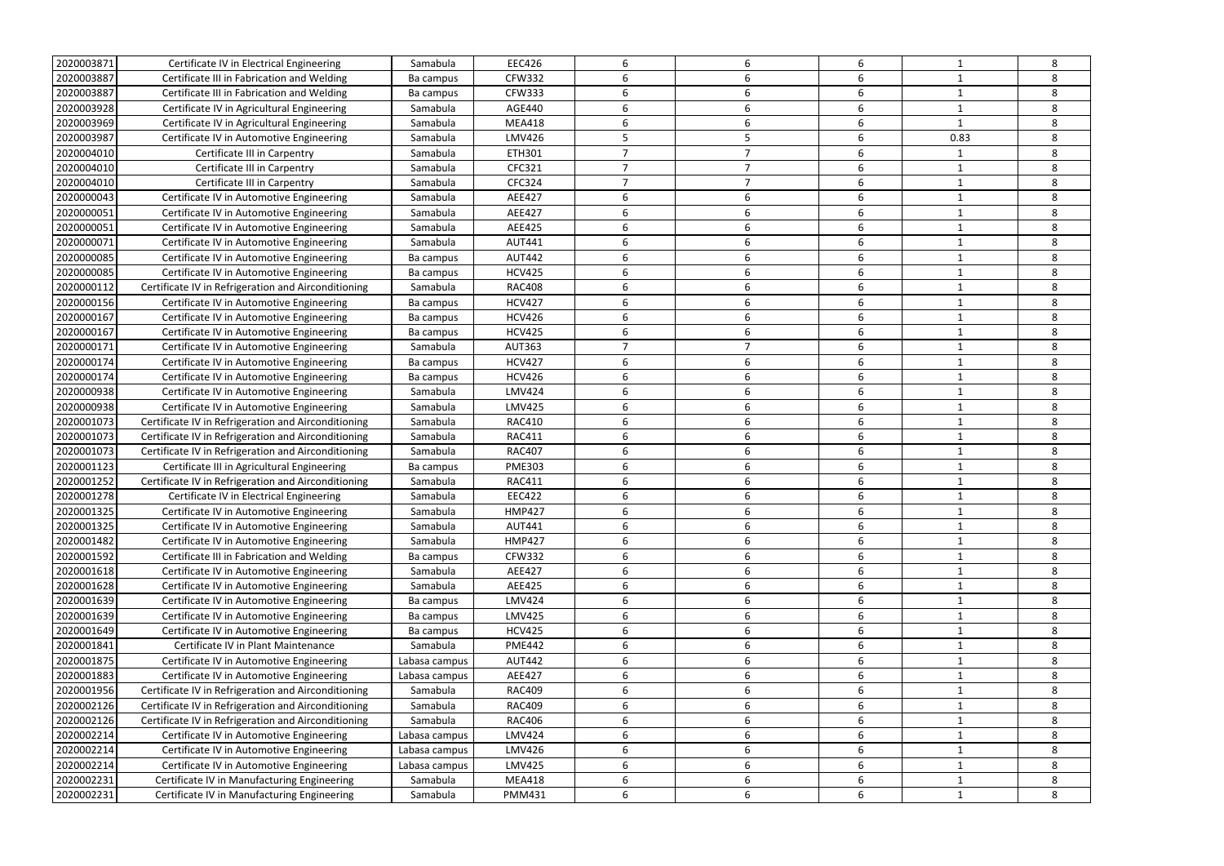| 2020003871 | Certificate IV in Electrical Engineering            | Samabula      | <b>EEC426</b> | 6              | 6                        | 6 |      | 8 |
|------------|-----------------------------------------------------|---------------|---------------|----------------|--------------------------|---|------|---|
| 2020003887 | Certificate III in Fabrication and Welding          | Ba campus     | <b>CFW332</b> | 6              | 6                        | 6 |      | 8 |
| 2020003887 | Certificate III in Fabrication and Welding          | Ba campus     | <b>CFW333</b> | 6              | 6                        | 6 |      | 8 |
| 2020003928 | Certificate IV in Agricultural Engineering          | Samabula      | <b>AGE440</b> | 6              | 6                        | 6 |      | 8 |
| 2020003969 | Certificate IV in Agricultural Engineering          | Samabula      | <b>MEA418</b> | 6              | 6                        | 6 |      | 8 |
| 2020003987 | Certificate IV in Automotive Engineering            | Samabula      | <b>LMV426</b> | 5              | 5                        | 6 | 0.83 | 8 |
| 2020004010 | Certificate III in Carpentry                        | Samabula      | ETH301        |                |                          | 6 |      | 8 |
| 2020004010 | Certificate III in Carpentry                        | Samabula      | CFC321        | $\overline{7}$ | $\overline{\phantom{a}}$ | 6 |      | 8 |
| 2020004010 | Certificate III in Carpentry                        | Samabula      | <b>CFC324</b> | $\overline{7}$ | ⇁                        | 6 |      | 8 |
| 2020000043 | Certificate IV in Automotive Engineering            |               | <b>AEE427</b> | 6              | 6                        | 6 |      | 8 |
|            |                                                     | Samabula      |               |                |                          |   |      |   |
| 2020000051 | Certificate IV in Automotive Engineering            | Samabula      | AEE427        | 6              | 6                        | 6 |      | 8 |
| 2020000051 | Certificate IV in Automotive Engineering            | Samabula      | <b>AEE425</b> | 6              | 6                        | 6 |      | 8 |
| 2020000071 | Certificate IV in Automotive Engineering            | Samabula      | <b>AUT441</b> | 6              | 6                        | 6 |      | 8 |
| 2020000085 | Certificate IV in Automotive Engineering            | Ba campus     | <b>AUT442</b> | 6              | 6                        | 6 |      | 8 |
| 2020000085 | Certificate IV in Automotive Engineering            | Ba campus     | <b>HCV425</b> | 6              | 6                        | 6 |      | 8 |
| 2020000112 | Certificate IV in Refrigeration and Airconditioning | Samabula      | <b>RAC408</b> | 6              | 6                        | 6 |      | 8 |
| 2020000156 | Certificate IV in Automotive Engineering            | Ba campus     | <b>HCV427</b> | 6              | 6                        | 6 |      | 8 |
| 2020000167 | Certificate IV in Automotive Engineering            | Ba campus     | <b>HCV426</b> | 6              | 6                        | 6 |      | 8 |
| 2020000167 | Certificate IV in Automotive Engineering            | Ba campus     | <b>HCV425</b> | 6              | 6                        | 6 |      | 8 |
| 2020000171 | Certificate IV in Automotive Engineering            | Samabula      | <b>AUT363</b> | $\overline{7}$ | $\overline{7}$           | 6 |      | 8 |
| 2020000174 | Certificate IV in Automotive Engineering            | Ba campus     | <b>HCV427</b> | 6              | 6                        | 6 |      | 8 |
| 2020000174 | Certificate IV in Automotive Engineering            | Ba campus     | <b>HCV426</b> | 6              | 6                        | 6 |      | 8 |
| 2020000938 | Certificate IV in Automotive Engineering            | Samabula      | <b>LMV424</b> | 6              | 6                        | 6 |      | 8 |
| 2020000938 | Certificate IV in Automotive Engineering            | Samabula      | <b>LMV425</b> | 6              | 6                        | 6 |      | 8 |
| 2020001073 | Certificate IV in Refrigeration and Airconditioning | Samabula      | <b>RAC410</b> | 6              | 6                        | 6 |      | 8 |
| 2020001073 | Certificate IV in Refrigeration and Airconditioning | Samabula      | <b>RAC411</b> | 6              | 6                        | 6 |      | 8 |
| 2020001073 | Certificate IV in Refrigeration and Airconditioning | Samabula      | <b>RAC407</b> | 6              | 6                        | 6 |      | 8 |
| 2020001123 | Certificate III in Agricultural Engineering         | Ba campus     | <b>PME303</b> | 6              | 6                        | 6 |      | 8 |
| 2020001252 | Certificate IV in Refrigeration and Airconditioning | Samabula      | <b>RAC411</b> | 6              | 6                        | 6 |      | 8 |
| 2020001278 | Certificate IV in Electrical Engineering            | Samabula      | <b>EEC422</b> | 6              | 6                        | 6 |      | 8 |
| 2020001325 | Certificate IV in Automotive Engineering            | Samabula      | <b>HMP427</b> |                |                          |   |      |   |
| 2020001325 | Certificate IV in Automotive Engineering            | Samabula      | <b>AUT441</b> | 6              | 6                        | 6 |      | 8 |
| 2020001482 | Certificate IV in Automotive Engineering            | Samabula      | <b>HMP427</b> | 6              | 6                        | 6 |      | 8 |
| 2020001592 | Certificate III in Fabrication and Welding          | Ba campus     | <b>CFW332</b> | 6              | 6                        | 6 |      | 8 |
| 2020001618 | Certificate IV in Automotive Engineering            | Samabula      | <b>AEE427</b> | 6              | 6                        | 6 |      | 8 |
| 2020001628 | Certificate IV in Automotive Engineering            | Samabula      | AEE425        | 6              | 6                        | 6 |      | 8 |
| 2020001639 | Certificate IV in Automotive Engineering            | Ba campus     | <b>LMV424</b> | 6              | 6                        | 6 |      | 8 |
| 2020001639 | Certificate IV in Automotive Engineering            | Ba campus     | <b>LMV425</b> | 6              | 6                        | 6 |      | 8 |
| 2020001649 | Certificate IV in Automotive Engineering            | Ba campus     | <b>HCV425</b> | 6              | 6                        | 6 |      | 8 |
| 2020001841 | Certificate IV in Plant Maintenance                 | Samabula      | <b>PME442</b> | 6              | 6                        | 6 |      | 8 |
| 2020001875 | Certificate IV in Automotive Engineering            | Labasa campus | <b>AUT442</b> | 6              | 6                        | 6 |      | 8 |
| 2020001883 | Certificate IV in Automotive Engineering            | Labasa campus | AEE427        | 6              | 6                        | 6 |      | 8 |
| 2020001956 | Certificate IV in Refrigeration and Airconditioning | Samabula      | <b>RAC409</b> | 6              | 6                        | 6 |      | 8 |
| 2020002126 | Certificate IV in Refrigeration and Airconditioning | Samabula      | <b>RAC409</b> | 6              | 6                        | 6 |      | 8 |
| 2020002126 | Certificate IV in Refrigeration and Airconditioning | Samabula      | <b>RAC406</b> | 6              | 6                        | 6 |      | 8 |
| 2020002214 | Certificate IV in Automotive Engineering            | Labasa campus | <b>LMV424</b> | 6              | 6                        | 6 |      | 8 |
| 2020002214 | Certificate IV in Automotive Engineering            | Labasa campus | LMV426        | 6              | 6                        | 6 | 1    | 8 |
| 2020002214 | Certificate IV in Automotive Engineering            | Labasa campus | <b>LMV425</b> | 6              | 6                        | 6 |      | 8 |
| 2020002231 | Certificate IV in Manufacturing Engineering         | Samabula      | <b>MEA418</b> | 6              | 6                        | 6 |      | 8 |
| 2020002231 | Certificate IV in Manufacturing Engineering         | Samabula      | <b>PMM431</b> | 6              | 6                        | 6 |      | 8 |
|            |                                                     |               |               |                |                          |   |      |   |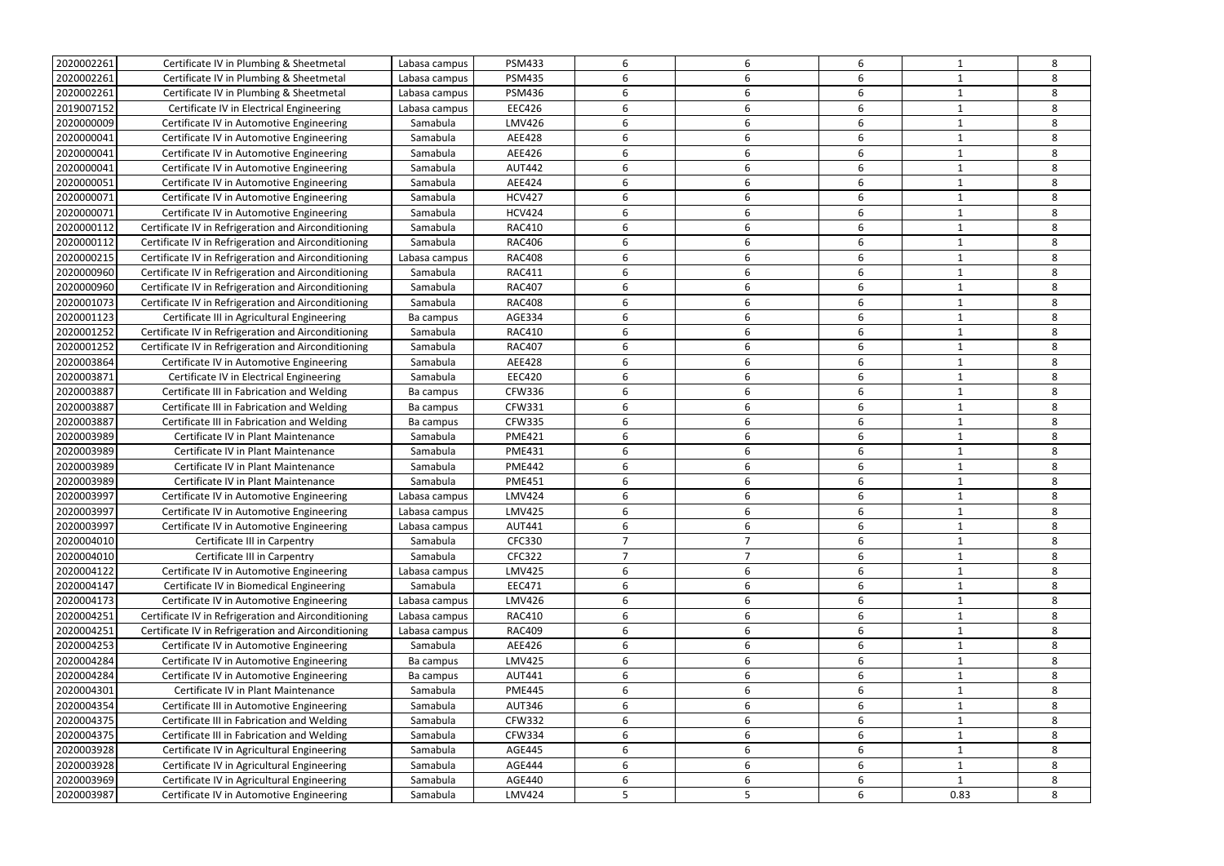| 2020002261 | Certificate IV in Plumbing & Sheetmetal             | Labasa campus | <b>PSM433</b> | 6              | 6              | 6                |              | 8 |
|------------|-----------------------------------------------------|---------------|---------------|----------------|----------------|------------------|--------------|---|
| 2020002261 | Certificate IV in Plumbing & Sheetmetal             | Labasa campus | <b>PSM435</b> | 6              | 6              | 6                |              | 8 |
| 2020002261 | Certificate IV in Plumbing & Sheetmetal             | Labasa campus | <b>PSM436</b> | 6              | 6              | 6                |              | 8 |
| 2019007152 | Certificate IV in Electrical Engineering            | Labasa campus | <b>EEC426</b> | 6              | 6              | 6                |              | 8 |
| 2020000009 | Certificate IV in Automotive Engineering            | Samabula      | <b>LMV426</b> | 6              | 6              | 6                |              | 8 |
| 2020000041 | Certificate IV in Automotive Engineering            | Samabula      | <b>AEE428</b> | 6              | 6              | 6                |              | 8 |
| 2020000041 | Certificate IV in Automotive Engineering            | Samabula      | AEE426        | 6              | 6              | 6                |              | 8 |
| 2020000041 | Certificate IV in Automotive Engineering            | Samabula      | <b>AUT442</b> | 6              | 6              | 6                |              | 8 |
| 2020000051 | Certificate IV in Automotive Engineering            | Samabula      | AEE424        | 6              | 6              | 6                | -1           | 8 |
| 2020000071 | Certificate IV in Automotive Engineering            | Samabula      | <b>HCV427</b> | 6              | 6              | 6                |              | 8 |
| 2020000071 | Certificate IV in Automotive Engineering            | Samabula      | <b>HCV424</b> | 6              | 6              | 6                |              | 8 |
| 2020000112 | Certificate IV in Refrigeration and Airconditioning | Samabula      | <b>RAC410</b> | 6              | 6              | 6                |              | 8 |
| 2020000112 | Certificate IV in Refrigeration and Airconditioning | Samabula      | <b>RAC406</b> | 6              | 6              | 6                |              | 8 |
| 2020000215 | Certificate IV in Refrigeration and Airconditioning | Labasa campus | <b>RAC408</b> | 6              | 6              | 6                |              | 8 |
| 2020000960 | Certificate IV in Refrigeration and Airconditioning | Samabula      | <b>RAC411</b> | 6              | 6              | 6                |              | 8 |
| 2020000960 | Certificate IV in Refrigeration and Airconditioning | Samabula      | <b>RAC407</b> | 6              | 6              | 6                |              | 8 |
| 2020001073 | Certificate IV in Refrigeration and Airconditioning | Samabula      | <b>RAC408</b> | 6              | 6              | 6                |              | 8 |
| 2020001123 | Certificate III in Agricultural Engineering         | Ba campus     | AGE334        | 6              | 6              | 6                |              | 8 |
| 2020001252 | Certificate IV in Refrigeration and Airconditioning | Samabula      | <b>RAC410</b> | 6              | 6              | 6                |              | 8 |
| 2020001252 | Certificate IV in Refrigeration and Airconditioning | Samabula      | <b>RAC407</b> | 6              | 6              | 6                |              | 8 |
| 2020003864 | Certificate IV in Automotive Engineering            | Samabula      | <b>AEE428</b> | 6              | 6              | 6                |              | 8 |
| 2020003871 | Certificate IV in Electrical Engineering            | Samabula      | <b>EEC420</b> | 6              | 6              | 6                |              | 8 |
| 2020003887 | Certificate III in Fabrication and Welding          | Ba campus     | <b>CFW336</b> | 6              | 6              | 6                | -1           | 8 |
| 2020003887 | Certificate III in Fabrication and Welding          | Ba campus     | <b>CFW331</b> | 6              | 6              | 6                |              | 8 |
| 2020003887 | Certificate III in Fabrication and Welding          | Ba campus     | <b>CFW335</b> | 6              | 6              | 6                |              | 8 |
| 2020003989 | Certificate IV in Plant Maintenance                 | Samabula      | <b>PME421</b> | 6              | 6              | 6                |              | 8 |
| 2020003989 | Certificate IV in Plant Maintenance                 | Samabula      | <b>PME431</b> | 6              | 6              | 6                |              | 8 |
| 2020003989 | Certificate IV in Plant Maintenance                 | Samabula      | <b>PME442</b> | 6              | 6              | 6                |              | 8 |
| 2020003989 | Certificate IV in Plant Maintenance                 | Samabula      | <b>PME451</b> | 6              | 6              | 6                | -1           | 8 |
| 2020003997 | Certificate IV in Automotive Engineering            | Labasa campus | <b>LMV424</b> | 6              | 6              | 6                |              | 8 |
| 2020003997 | Certificate IV in Automotive Engineering            | Labasa campus | <b>LMV425</b> |                |                |                  |              | 8 |
| 2020003997 | Certificate IV in Automotive Engineering            | Labasa campus | <b>AUT441</b> | 6              | 6              | 6                | 1            | 8 |
| 2020004010 | Certificate III in Carpentry                        | Samabula      | <b>CFC330</b> | $\overline{7}$ | $\overline{7}$ | 6                |              | 8 |
| 2020004010 | Certificate III in Carpentry                        | Samabula      | <b>CFC322</b> | $\overline{7}$ | $\overline{7}$ | 6                |              | 8 |
| 2020004122 | Certificate IV in Automotive Engineering            | Labasa campus | <b>LMV425</b> | 6              | 6              | 6                | -1           | 8 |
| 2020004147 | Certificate IV in Biomedical Engineering            | Samabula      | EEC471        | 6              | 6              | 6                |              | 8 |
| 2020004173 | Certificate IV in Automotive Engineering            | Labasa campus | LMV426        | 6              | 6              | 6                | 1            | 8 |
| 2020004251 | Certificate IV in Refrigeration and Airconditioning | Labasa campus | <b>RAC410</b> | 6              | 6              | 6                |              | 8 |
| 2020004251 | Certificate IV in Refrigeration and Airconditioning | Labasa campus | <b>RAC409</b> | 6              | 6              | 6                |              | 8 |
| 2020004253 | Certificate IV in Automotive Engineering            | Samabula      | AEE426        | 6              | 6              | 6                |              | 8 |
| 2020004284 | Certificate IV in Automotive Engineering            | Ba campus     | <b>LMV425</b> | 6              | 6              | 6                |              | 8 |
| 2020004284 | Certificate IV in Automotive Engineering            | Ba campus     | <b>AUT441</b> | 6              | 6              | 6                |              | 8 |
| 2020004301 | Certificate IV in Plant Maintenance                 | Samabula      | <b>PME445</b> | 6              | 6              | 6                | 1            | 8 |
| 2020004354 | Certificate III in Automotive Engineering           | Samabula      | <b>AUT346</b> | 6              | 6              | $\boldsymbol{6}$ | 1            | 8 |
| 2020004375 | Certificate III in Fabrication and Welding          | Samabula      | <b>CFW332</b> | 6              | 6              | 6                |              | 8 |
| 2020004375 | Certificate III in Fabrication and Welding          | Samabula      | <b>CFW334</b> | 6              | 6              | 6                |              | 8 |
| 2020003928 | Certificate IV in Agricultural Engineering          | Samabula      | <b>AGE445</b> | 6              | 6              | 6                |              | 8 |
| 2020003928 | Certificate IV in Agricultural Engineering          | Samabula      | <b>AGE444</b> | 6              | 6              | 6                | -1           | 8 |
| 2020003969 | Certificate IV in Agricultural Engineering          | Samabula      | AGE440        | 6              | 6              | 6                | $\mathbf{1}$ | 8 |
| 2020003987 | Certificate IV in Automotive Engineering            | Samabula      | <b>LMV424</b> | 5              | 5              | 6                | 0.83         | 8 |
|            |                                                     |               |               |                |                |                  |              |   |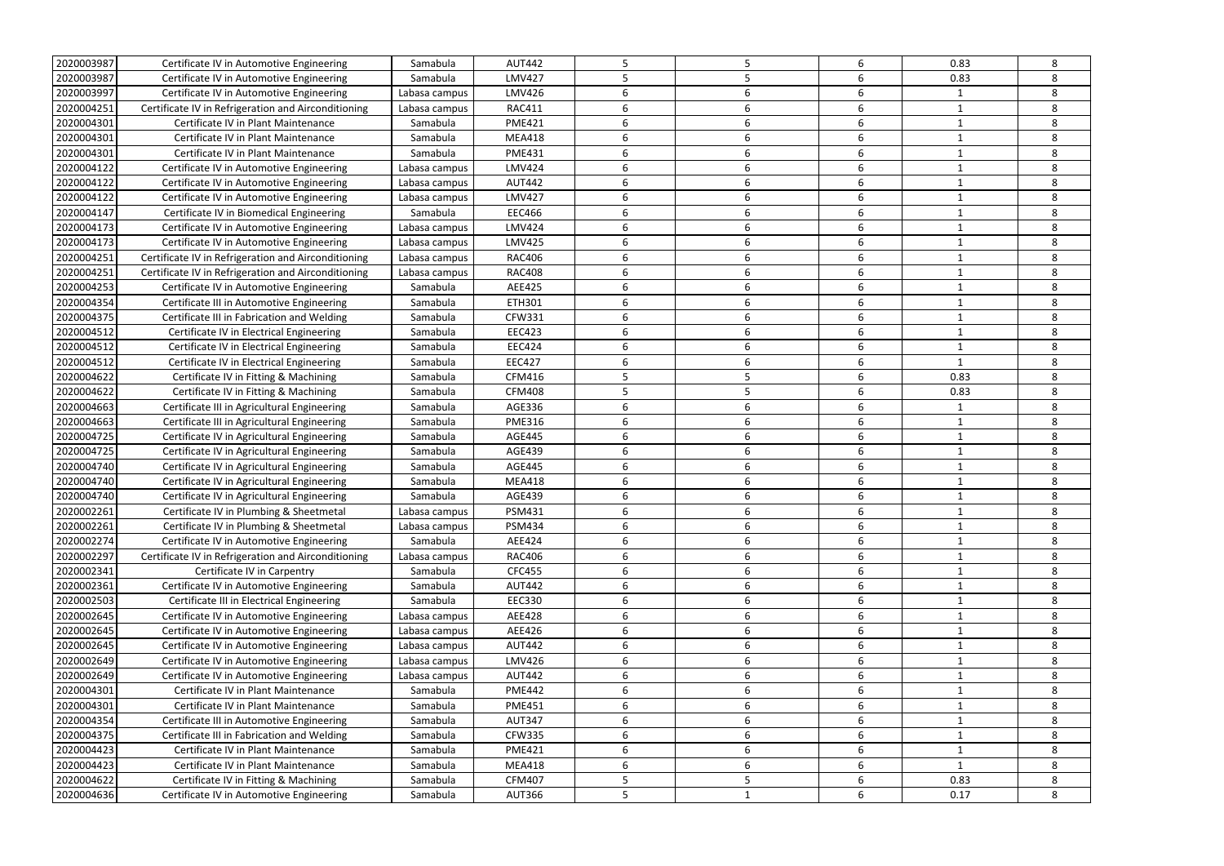| 2020003987 | Certificate IV in Automotive Engineering            | Samabula      | <b>AUT442</b> | 5 |   | 6                | 0.83        | 8 |
|------------|-----------------------------------------------------|---------------|---------------|---|---|------------------|-------------|---|
| 2020003987 | Certificate IV in Automotive Engineering            | Samabula      | <b>LMV427</b> | 5 |   | 6                | 0.83        | 8 |
| 2020003997 | Certificate IV in Automotive Engineering            | Labasa campus | LMV426        | 6 | 6 | 6                |             | 8 |
| 2020004251 | Certificate IV in Refrigeration and Airconditioning | Labasa campus | <b>RAC411</b> | 6 | 6 | 6                |             | 8 |
| 2020004301 | Certificate IV in Plant Maintenance                 | Samabula      | <b>PME421</b> | 6 | 6 | 6                |             | 8 |
| 2020004301 | Certificate IV in Plant Maintenance                 | Samabula      | <b>MEA418</b> | 6 |   | 6                |             | 8 |
| 2020004301 | Certificate IV in Plant Maintenance                 | Samabula      | <b>PME431</b> | 6 | 6 | 6                |             | 8 |
| 2020004122 | Certificate IV in Automotive Engineering            | Labasa campus | <b>LMV424</b> | 6 | 6 | 6                |             | 8 |
| 2020004122 | Certificate IV in Automotive Engineering            | Labasa campus | <b>AUT442</b> | 6 | 6 | 6                | -1          | 8 |
| 2020004122 | Certificate IV in Automotive Engineering            | Labasa campus | <b>LMV427</b> | 6 | 6 | 6                |             | 8 |
| 2020004147 | Certificate IV in Biomedical Engineering            | Samabula      | EEC466        | 6 | 6 | 6                |             | 8 |
| 2020004173 | Certificate IV in Automotive Engineering            | Labasa campus | <b>LMV424</b> | 6 | 6 | 6                |             | 8 |
| 2020004173 | Certificate IV in Automotive Engineering            | Labasa campus | <b>LMV425</b> | 6 | 6 | 6                |             | 8 |
| 2020004251 | Certificate IV in Refrigeration and Airconditioning | Labasa campus | <b>RAC406</b> | 6 | 6 | 6                |             | 8 |
| 2020004251 | Certificate IV in Refrigeration and Airconditioning | Labasa campus | <b>RAC408</b> | 6 | 6 | 6                |             | 8 |
| 2020004253 | Certificate IV in Automotive Engineering            | Samabula      | AEE425        | 6 | 6 | 6                |             | 8 |
| 2020004354 | Certificate III in Automotive Engineering           | Samabula      | ETH301        | 6 | 6 | 6                |             | 8 |
| 2020004375 | Certificate III in Fabrication and Welding          | Samabula      | <b>CFW331</b> | 6 | 6 | 6                | -1          | 8 |
| 2020004512 | Certificate IV in Electrical Engineering            | Samabula      | <b>EEC423</b> | 6 | 6 | 6                |             | 8 |
| 2020004512 | Certificate IV in Electrical Engineering            | Samabula      | <b>EEC424</b> | 6 | 6 | 6                |             | 8 |
| 2020004512 | Certificate IV in Electrical Engineering            | Samabula      | <b>EEC427</b> | 6 | 6 | 6                | $\mathbf 1$ | 8 |
| 2020004622 |                                                     |               | <b>CFM416</b> | 5 |   | 6                | 0.83        | 8 |
|            | Certificate IV in Fitting & Machining               | Samabula      |               | 5 | 5 | 6                | 0.83        | 8 |
| 2020004622 | Certificate IV in Fitting & Machining               | Samabula      | <b>CFM408</b> |   |   |                  |             |   |
| 2020004663 | Certificate III in Agricultural Engineering         | Samabula      | AGE336        | 6 | 6 | 6                |             | 8 |
| 2020004663 | Certificate III in Agricultural Engineering         | Samabula      | <b>PME316</b> | 6 |   | 6                |             | 8 |
| 2020004725 | Certificate IV in Agricultural Engineering          | Samabula      | AGE445        | 6 | 6 | 6                |             | 8 |
| 2020004725 | Certificate IV in Agricultural Engineering          | Samabula      | <b>AGE439</b> | 6 | 6 | 6                |             | 8 |
| 2020004740 | Certificate IV in Agricultural Engineering          | Samabula      | <b>AGE445</b> | 6 | 6 | 6                | -1          | 8 |
| 2020004740 | Certificate IV in Agricultural Engineering          | Samabula      | <b>MEA418</b> | 6 | 6 | 6                |             | 8 |
| 2020004740 | Certificate IV in Agricultural Engineering          | Samabula      | AGE439        | 6 |   | 6                |             | 8 |
| 2020002261 | Certificate IV in Plumbing & Sheetmetal             | Labasa campus | PSM431        |   |   |                  |             |   |
| 2020002261 | Certificate IV in Plumbing & Sheetmetal             | Labasa campus | <b>PSM434</b> | 6 | 6 | 6                | 1           | 8 |
| 2020002274 | Certificate IV in Automotive Engineering            | Samabula      | AEE424        | 6 | 6 | 6                |             | 8 |
| 2020002297 | Certificate IV in Refrigeration and Airconditioning | Labasa campus | <b>RAC406</b> | 6 | 6 | 6                |             | 8 |
| 2020002341 | Certificate IV in Carpentry                         | Samabula      | <b>CFC455</b> | 6 | 6 | 6                |             | 8 |
| 2020002361 | Certificate IV in Automotive Engineering            | Samabula      | <b>AUT442</b> | 6 | 6 | 6                |             | 8 |
| 2020002503 | Certificate III in Electrical Engineering           | Samabula      | <b>EEC330</b> | 6 | 6 | 6                | 1           | 8 |
| 2020002645 | Certificate IV in Automotive Engineering            | Labasa campus | AEE428        | 6 | 6 | 6                |             | 8 |
| 2020002645 | Certificate IV in Automotive Engineering            | Labasa campus | AEE426        | 6 | 6 | $\boldsymbol{6}$ |             | 8 |
| 2020002645 | Certificate IV in Automotive Engineering            | Labasa campus | <b>AUT442</b> | 6 | 6 | 6                | 1           | 8 |
| 2020002649 | Certificate IV in Automotive Engineering            | Labasa campus | <b>LMV426</b> | 6 | 6 | 6                |             | 8 |
| 2020002649 | Certificate IV in Automotive Engineering            | Labasa campus | <b>AUT442</b> | 6 | 6 | 6                |             | 8 |
| 2020004301 | Certificate IV in Plant Maintenance                 | Samabula      | <b>PME442</b> | 6 | 6 | 6                |             | 8 |
| 2020004301 | Certificate IV in Plant Maintenance                 | Samabula      | <b>PME451</b> | 6 | 6 | 6                | 1           | 8 |
| 2020004354 | Certificate III in Automotive Engineering           | Samabula      | <b>AUT347</b> | 6 | 6 | 6                | 1           | 8 |
| 2020004375 | Certificate III in Fabrication and Welding          | Samabula      | <b>CFW335</b> | 6 | 6 | 6                |             | 8 |
| 2020004423 | Certificate IV in Plant Maintenance                 | Samabula      | <b>PME421</b> | 6 | 6 | 6                | 1           | 8 |
| 2020004423 | Certificate IV in Plant Maintenance                 | Samabula      | <b>MEA418</b> | 6 | 6 | 6                | $\mathbf 1$ | 8 |
| 2020004622 | Certificate IV in Fitting & Machining               | Samabula      | <b>CFM407</b> | 5 | 5 | 6                | 0.83        | 8 |
| 2020004636 | Certificate IV in Automotive Engineering            | Samabula      | <b>AUT366</b> | 5 | 1 | 6                | 0.17        | 8 |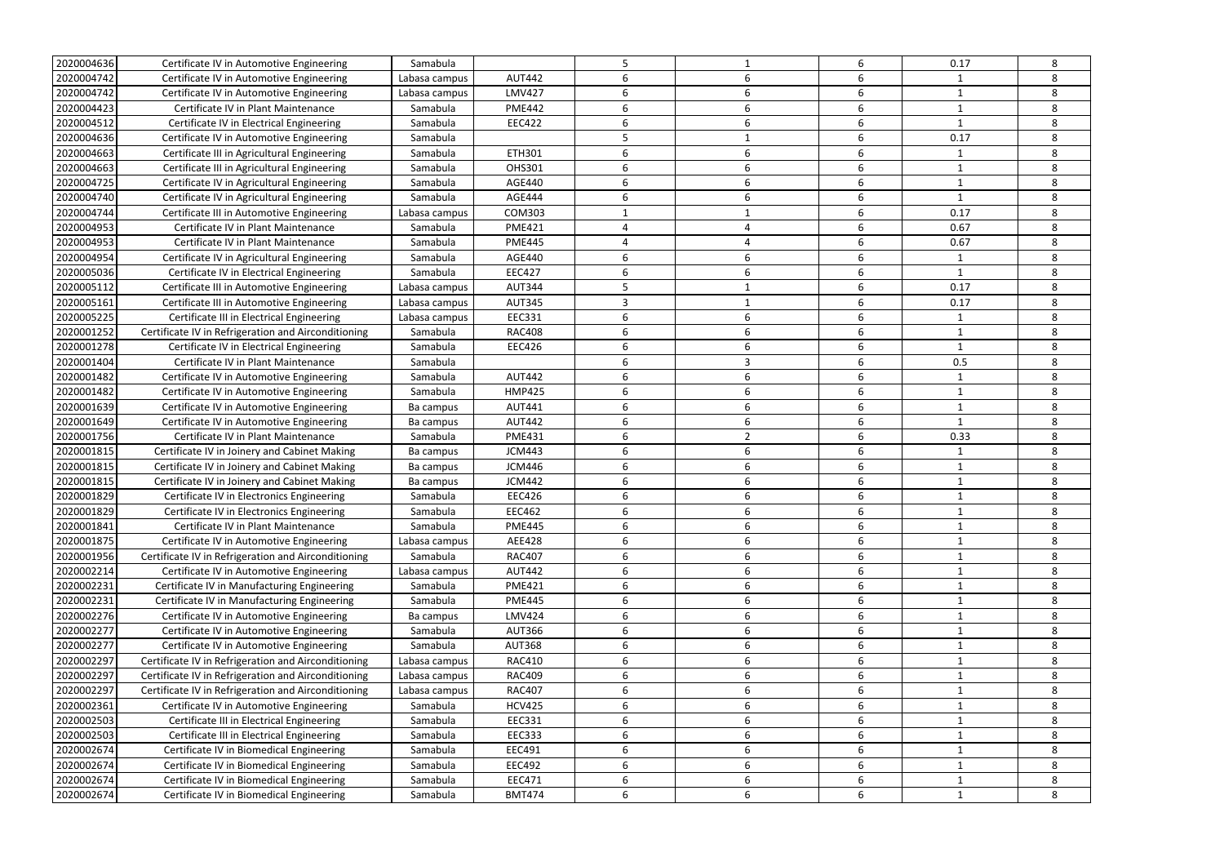| 2020004636               | Certificate IV in Automotive Engineering                                             | Samabula      |               | 5 |   | 6 | 0.17         | 8 |
|--------------------------|--------------------------------------------------------------------------------------|---------------|---------------|---|---|---|--------------|---|
| 2020004742               | Certificate IV in Automotive Engineering                                             | Labasa campus | <b>AUT442</b> | 6 | 6 | 6 | 1            | 8 |
| 2020004742               | Certificate IV in Automotive Engineering                                             | Labasa campus | <b>LMV427</b> | 6 | 6 | 6 | -1           | 8 |
| 2020004423               | Certificate IV in Plant Maintenance                                                  | Samabula      | <b>PME442</b> | 6 | 6 | 6 | 1            | 8 |
| 2020004512               | Certificate IV in Electrical Engineering                                             | Samabula      | <b>EEC422</b> | 6 | 6 | 6 |              | 8 |
| 2020004636               | Certificate IV in Automotive Engineering                                             | Samabula      |               | 5 |   | 6 | 0.17         | 8 |
| 2020004663               | Certificate III in Agricultural Engineering                                          | Samabula      | ETH301        | 6 | 6 | 6 |              | 8 |
| 2020004663               | Certificate III in Agricultural Engineering                                          | Samabula      | <b>OHS301</b> | 6 | 6 | 6 | 1            | 8 |
| 2020004725               | Certificate IV in Agricultural Engineering                                           | Samabula      | <b>AGE440</b> | 6 | 6 | 6 | $\mathbf{1}$ | 8 |
| 2020004740               | Certificate IV in Agricultural Engineering                                           | Samabula      | <b>AGE444</b> | 6 | 6 | 6 | -1           | 8 |
| 2020004744               | Certificate III in Automotive Engineering                                            | Labasa campus | <b>COM303</b> |   |   | 6 | 0.17         | 8 |
| 2020004953               | Certificate IV in Plant Maintenance                                                  | Samabula      | <b>PME421</b> |   |   | 6 | 0.67         | 8 |
| 2020004953               | Certificate IV in Plant Maintenance                                                  | Samabula      | <b>PME445</b> | 4 | 4 | 6 | 0.67         | 8 |
| 2020004954               | Certificate IV in Agricultural Engineering                                           | Samabula      | <b>AGE440</b> | 6 | 6 | 6 | $\mathbf{1}$ | 8 |
| 2020005036               | Certificate IV in Electrical Engineering                                             | Samabula      | <b>EEC427</b> | 6 | 6 | 6 | $\mathbf{1}$ | 8 |
| 2020005112               | Certificate III in Automotive Engineering                                            | Labasa campus | <b>AUT344</b> | 5 |   | 6 | 0.17         | 8 |
| 2020005161               | Certificate III in Automotive Engineering                                            | Labasa campus | <b>AUT345</b> | 3 |   | 6 | 0.17         | 8 |
| 2020005225               | Certificate III in Electrical Engineering                                            | Labasa campus | EEC331        | 6 | 6 | 6 | $\mathbf{1}$ | 8 |
| 2020001252               | Certificate IV in Refrigeration and Airconditioning                                  | Samabula      | <b>RAC408</b> | 6 | 6 | 6 | $\mathbf{1}$ | 8 |
| 2020001278               | Certificate IV in Electrical Engineering                                             | Samabula      | <b>EEC426</b> | 6 | 6 | 6 | -1           | 8 |
| 2020001404               | Certificate IV in Plant Maintenance                                                  | Samabula      |               | 6 | 3 | 6 | 0.5          | 8 |
| 2020001482               | Certificate IV in Automotive Engineering                                             | Samabula      | <b>AUT442</b> | 6 | 6 | 6 | $\mathbf{1}$ | 8 |
| 2020001482               | Certificate IV in Automotive Engineering                                             | Samabula      | <b>HMP425</b> | 6 | 6 | 6 | $\mathbf{1}$ | 8 |
| 2020001639               | Certificate IV in Automotive Engineering                                             | Ba campus     | <b>AUT441</b> | 6 | 6 | 6 | $\mathbf{1}$ | 8 |
| 2020001649               | Certificate IV in Automotive Engineering                                             | Ba campus     | <b>AUT442</b> | 6 | 6 | 6 | $\mathbf 1$  | 8 |
|                          |                                                                                      |               |               |   |   |   |              |   |
| 2020001756               | Certificate IV in Plant Maintenance                                                  | Samabula      | <b>PME431</b> | 6 | 2 | 6 | 0.33         | 8 |
| 2020001815               | Certificate IV in Joinery and Cabinet Making                                         | Ba campus     | <b>JCM443</b> | 6 | 6 | 6 | 1            | 8 |
| 2020001815               | Certificate IV in Joinery and Cabinet Making                                         | Ba campus     | <b>JCM446</b> | 6 | 6 | 6 | $\mathbf{1}$ | 8 |
| 2020001815               | Certificate IV in Joinery and Cabinet Making                                         | Ba campus     | <b>JCM442</b> | 6 | 6 | 6 | -1           | 8 |
| 2020001829               | Certificate IV in Electronics Engineering                                            | Samabula      | <b>EEC426</b> | 6 | 6 | 6 | $\mathbf{1}$ | 8 |
| 2020001829               | Certificate IV in Electronics Engineering                                            | Samabula      | <b>EEC462</b> |   |   |   |              | 8 |
| 2020001841               | Certificate IV in Plant Maintenance                                                  | Samabula      | <b>PME445</b> | 6 | 6 | 6 | 1            | 8 |
| 2020001875               | Certificate IV in Automotive Engineering                                             | Labasa campus | AEE428        | 6 | 6 | 6 | $\mathbf{1}$ | 8 |
| 2020001956               | Certificate IV in Refrigeration and Airconditioning                                  | Samabula      | <b>RAC407</b> | 6 | 6 | 6 | -1           | 8 |
| 2020002214               | Certificate IV in Automotive Engineering                                             | Labasa campus | <b>AUT442</b> | 6 | 6 | 6 | -1           | 8 |
| 2020002231               | Certificate IV in Manufacturing Engineering                                          | Samabula      | <b>PME421</b> | 6 | 6 | 6 | -1           | 8 |
| 2020002231               | Certificate IV in Manufacturing Engineering                                          | Samabula      | <b>PME445</b> | 6 | 6 | 6 | 1            | 8 |
| 2020002276               | Certificate IV in Automotive Engineering                                             | Ba campus     | <b>LMV424</b> | 6 | 6 | 6 |              | 8 |
| 2020002277               | Certificate IV in Automotive Engineering                                             | Samabula      | <b>AUT366</b> | 6 | 6 | 6 |              | 8 |
| 2020002277               | Certificate IV in Automotive Engineering                                             | Samabula      | <b>AUT368</b> | 6 | 6 | 6 | $\mathbf{1}$ | 8 |
| 2020002297               | Certificate IV in Refrigeration and Airconditioning                                  | Labasa campus | <b>RAC410</b> | 6 | 6 | 6 | -1           | 8 |
| 2020002297               | Certificate IV in Refrigeration and Airconditioning                                  | Labasa campus | <b>RAC409</b> | 6 | 6 | 6 | $\mathbf{1}$ | 8 |
| 2020002297               | Certificate IV in Refrigeration and Airconditioning                                  | Labasa campus | <b>RAC407</b> | 6 | 6 | 6 | 1            | 8 |
| 2020002361               | Certificate IV in Automotive Engineering                                             | Samabula      | <b>HCV425</b> | 6 | 6 | 6 | 1            | 8 |
| 2020002503               | Certificate III in Electrical Engineering                                            | Samabula      | EEC331        | 6 | 6 | 6 |              | 8 |
| 2020002503               | Certificate III in Electrical Engineering                                            | Samabula      | <b>EEC333</b> | 6 | 6 | 6 | $\mathbf{1}$ | 8 |
| 2020002674               | Certificate IV in Biomedical Engineering                                             | Samabula      | <b>EEC491</b> | 6 | 6 | 6 | $\mathbf 1$  | 8 |
| 2020002674               | Certificate IV in Biomedical Engineering                                             | Samabula      | <b>EEC492</b> | 6 | 6 | 6 | -1           | 8 |
| 2020002674<br>2020002674 | Certificate IV in Biomedical Engineering<br>Certificate IV in Biomedical Engineering | Samabula      | EEC471        | 6 | 6 | 6 | 1            | 8 |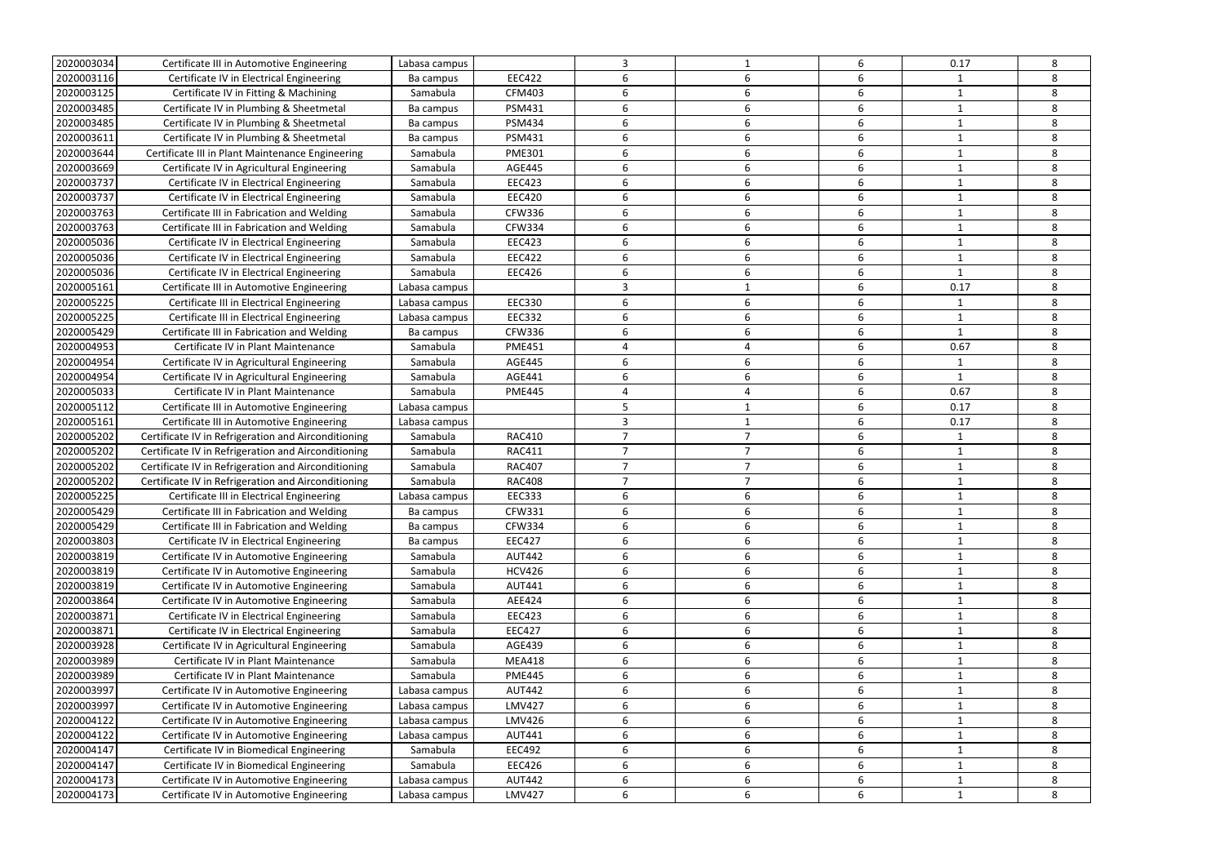| 2020003034 | Certificate III in Automotive Engineering           | Labasa campus |               | 3              |                | 6                | 0.17         | 8 |
|------------|-----------------------------------------------------|---------------|---------------|----------------|----------------|------------------|--------------|---|
| 2020003116 | Certificate IV in Electrical Engineering            | Ba campus     | <b>EEC422</b> | 6              |                | 6                |              | 8 |
| 2020003125 | Certificate IV in Fitting & Machining               | Samabula      | <b>CFM403</b> | 6              | 6              | 6                | -1           | 8 |
| 2020003485 | Certificate IV in Plumbing & Sheetmetal             | Ba campus     | <b>PSM431</b> | 6              | 6              | 6                | $\mathbf{1}$ | 8 |
| 2020003485 | Certificate IV in Plumbing & Sheetmetal             | Ba campus     | <b>PSM434</b> | 6              | 6              | 6                | $\mathbf{1}$ | 8 |
| 2020003611 | Certificate IV in Plumbing & Sheetmetal             | Ba campus     | <b>PSM431</b> | 6              | 6              | 6                | $\mathbf{1}$ | 8 |
| 2020003644 | Certificate III in Plant Maintenance Engineering    | Samabula      | <b>PME301</b> | 6              | 6              | 6                | $\mathbf{1}$ | 8 |
| 2020003669 | Certificate IV in Agricultural Engineering          | Samabula      | <b>AGE445</b> | 6              | 6              | 6                |              | 8 |
| 2020003737 | Certificate IV in Electrical Engineering            | Samabula      | <b>EEC423</b> | 6              | 6              | 6                | -1           | 8 |
| 2020003737 | Certificate IV in Electrical Engineering            | Samabula      | <b>EEC420</b> | 6              | 6              | 6                | -1           | 8 |
| 2020003763 | Certificate III in Fabrication and Welding          | Samabula      | <b>CFW336</b> | 6              | 6              | 6                | $\mathbf{1}$ | 8 |
| 2020003763 | Certificate III in Fabrication and Welding          | Samabula      | <b>CFW334</b> | 6              | 6              | 6                | 1            | 8 |
| 2020005036 | Certificate IV in Electrical Engineering            | Samabula      | <b>EEC423</b> | 6              | 6              | 6                |              | 8 |
| 2020005036 | Certificate IV in Electrical Engineering            | Samabula      | <b>EEC422</b> | 6              | 6              | 6                | $\mathbf{1}$ | 8 |
| 2020005036 | Certificate IV in Electrical Engineering            | Samabula      | <b>EEC426</b> | 6              | 6              | 6                | $\mathbf{1}$ | 8 |
| 2020005161 | Certificate III in Automotive Engineering           | Labasa campus |               | 3              |                | 6                | 0.17         | 8 |
| 2020005225 | Certificate III in Electrical Engineering           | Labasa campus | <b>EEC330</b> | 6              | 6              | 6                | 1            | 8 |
| 2020005225 | Certificate III in Electrical Engineering           | Labasa campus | <b>EEC332</b> | 6              | 6              | 6                | $\mathbf{1}$ | 8 |
| 2020005429 | Certificate III in Fabrication and Welding          | Ba campus     | <b>CFW336</b> | 6              | 6              | 6                | -1           | 8 |
| 2020004953 | Certificate IV in Plant Maintenance                 | Samabula      | <b>PME451</b> | 4              | 4              | 6                | 0.67         | 8 |
| 2020004954 | Certificate IV in Agricultural Engineering          | Samabula      | <b>AGE445</b> | 6              | 6              | 6                | -1           | 8 |
| 2020004954 | Certificate IV in Agricultural Engineering          | Samabula      | <b>AGE441</b> | 6              | 6              | 6                | -1           | 8 |
| 2020005033 | Certificate IV in Plant Maintenance                 | Samabula      | <b>PME445</b> | 4              |                | 6                | 0.67         | 8 |
| 2020005112 | Certificate III in Automotive Engineering           | Labasa campus |               | 5              |                | 6                | 0.17         | 8 |
| 2020005161 | Certificate III in Automotive Engineering           | Labasa campus |               | 3              | 1              | $\boldsymbol{6}$ | 0.17         | 8 |
| 2020005202 | Certificate IV in Refrigeration and Airconditioning | Samabula      | <b>RAC410</b> | $\overline{7}$ | 7              | 6                |              | 8 |
| 2020005202 | Certificate IV in Refrigeration and Airconditioning | Samabula      | <b>RAC411</b> | $\overline{7}$ | $\overline{7}$ | 6                | $\mathbf{1}$ | 8 |
| 2020005202 | Certificate IV in Refrigeration and Airconditioning | Samabula      | <b>RAC407</b> | $\overline{7}$ | $\overline{ }$ | 6                | -1           | 8 |
| 2020005202 | Certificate IV in Refrigeration and Airconditioning | Samabula      | <b>RAC408</b> |                |                | 6                |              | 8 |
| 2020005225 | Certificate III in Electrical Engineering           | Labasa campus | <b>EEC333</b> | 6              | 6              | 6                | $\mathbf{1}$ | 8 |
| 2020005429 | Certificate III in Fabrication and Welding          | Ba campus     | <b>CFW331</b> |                |                |                  |              | 8 |
| 2020005429 | Certificate III in Fabrication and Welding          | Ba campus     | <b>CFW334</b> | 6              | 6              | 6                | 1            | 8 |
| 2020003803 | Certificate IV in Electrical Engineering            | Ba campus     | <b>EEC427</b> | 6              | 6              | 6                | $\mathbf{1}$ | 8 |
| 2020003819 | Certificate IV in Automotive Engineering            | Samabula      | <b>AUT442</b> | 6              | 6              | 6                | -1           | 8 |
| 2020003819 | Certificate IV in Automotive Engineering            | Samabula      | <b>HCV426</b> | 6              | 6              | 6                | $\mathbf{1}$ | 8 |
| 2020003819 | Certificate IV in Automotive Engineering            | Samabula      | AUT441        | 6              | 6              | 6                |              | 8 |
| 2020003864 | Certificate IV in Automotive Engineering            | Samabula      | AEE424        | 6              | 6              | 6                | $\mathbf{1}$ | 8 |
| 2020003871 | Certificate IV in Electrical Engineering            | Samabula      | <b>EEC423</b> | 6              | 6              | 6                | -1           | 8 |
| 2020003871 | Certificate IV in Electrical Engineering            | Samabula      | <b>EEC427</b> | 6              | 6              | 6                | $\mathbf{1}$ | 8 |
| 2020003928 | Certificate IV in Agricultural Engineering          | Samabula      | <b>AGE439</b> | 6              | 6              | 6                | $\mathbf{1}$ | 8 |
| 2020003989 | Certificate IV in Plant Maintenance                 | Samabula      | <b>MEA418</b> | 6              | 6              | 6                |              | 8 |
| 2020003989 | Certificate IV in Plant Maintenance                 | Samabula      | <b>PME445</b> | 6              | 6              | 6                | $\mathbf{1}$ | 8 |
| 2020003997 | Certificate IV in Automotive Engineering            | Labasa campus | <b>AUT442</b> | 6              | 6              | 6                |              | 8 |
| 2020003997 | Certificate IV in Automotive Engineering            | Labasa campus | <b>LMV427</b> | 6              | 6              | 6                | 1            | 8 |
| 2020004122 | Certificate IV in Automotive Engineering            | Labasa campus | LMV426        | 6              | 6              | 6                | $\mathbf{1}$ | 8 |
| 2020004122 | Certificate IV in Automotive Engineering            | Labasa campus | <b>AUT441</b> | 6              | 6              | 6                | $\mathbf{1}$ | 8 |
| 2020004147 | Certificate IV in Biomedical Engineering            | Samabula      | <b>EEC492</b> | 6              | 6              | 6                | $\mathbf{1}$ | 8 |
| 2020004147 | Certificate IV in Biomedical Engineering            | Samabula      | <b>EEC426</b> | 6              | 6              | 6                |              | 8 |
| 2020004173 | Certificate IV in Automotive Engineering            | Labasa campus | <b>AUT442</b> | 6              | 6              | 6                | $\mathbf{1}$ | 8 |
| 2020004173 | Certificate IV in Automotive Engineering            | Labasa campus | <b>LMV427</b> | 6              | 6              | 6                | 1            | 8 |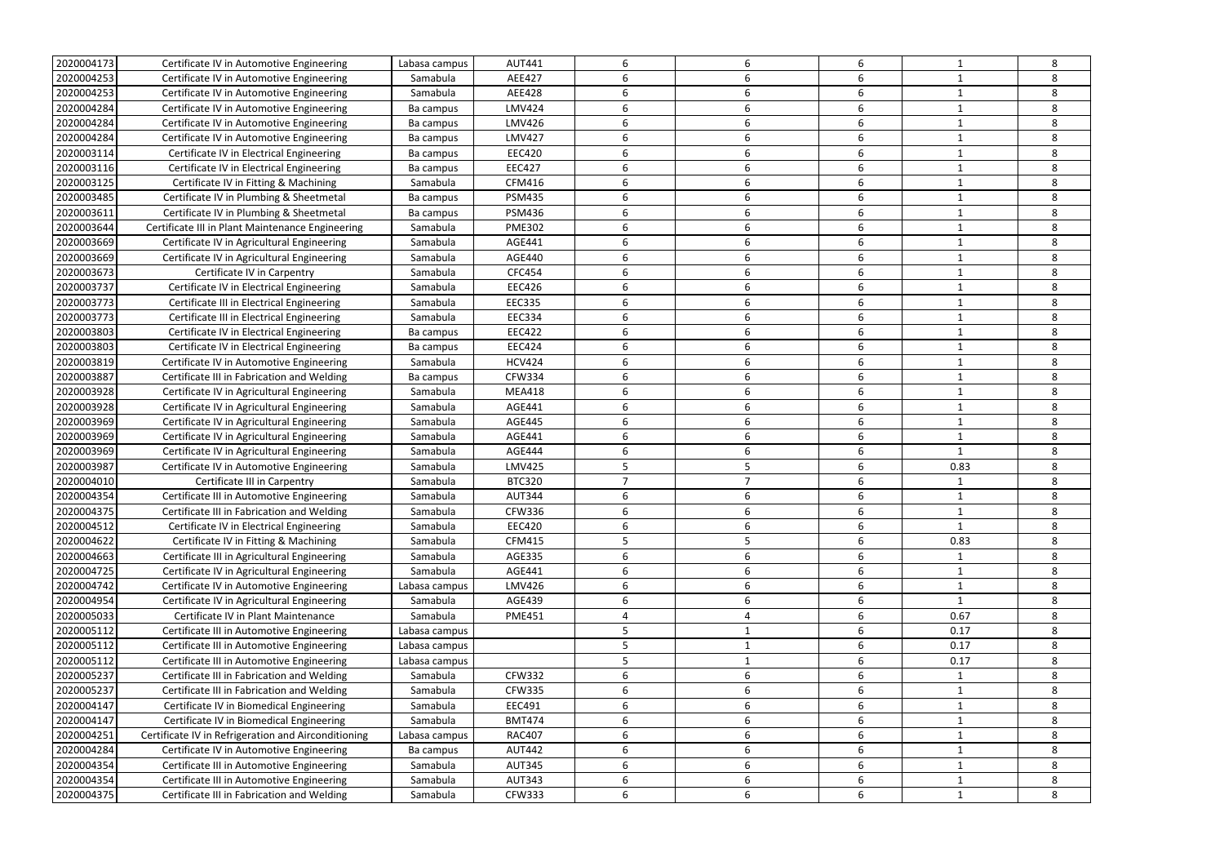| 2020004173               | Certificate IV in Automotive Engineering                                                | Labasa campus        | <b>AUT441</b>                  | 6      | 6      | 6                     |                   | 8      |
|--------------------------|-----------------------------------------------------------------------------------------|----------------------|--------------------------------|--------|--------|-----------------------|-------------------|--------|
| 2020004253               | Certificate IV in Automotive Engineering                                                | Samabula             | AEE427                         | 6      | 6      | 6                     |                   | 8      |
| 2020004253               | Certificate IV in Automotive Engineering                                                | Samabula             | <b>AEE428</b>                  | 6      | 6      | 6                     |                   | 8      |
| 2020004284               | Certificate IV in Automotive Engineering                                                | Ba campus            | <b>LMV424</b>                  | 6      | 6      | 6                     |                   | 8      |
| 2020004284               | Certificate IV in Automotive Engineering                                                | Ba campus            | <b>LMV426</b>                  | 6      | 6      | 6                     |                   | 8      |
| 2020004284               | Certificate IV in Automotive Engineering                                                | Ba campus            | <b>LMV427</b>                  | 6      | 6      | 6                     |                   | 8      |
| 2020003114               | Certificate IV in Electrical Engineering                                                | Ba campus            | <b>EEC420</b>                  | 6      | 6      | 6                     |                   | 8      |
| 2020003116               | Certificate IV in Electrical Engineering                                                | Ba campus            | <b>EEC427</b>                  | 6      | 6      | 6                     |                   | 8      |
| 2020003125               | Certificate IV in Fitting & Machining                                                   | Samabula             | CFM416                         | 6      | 6      | 6                     | 1                 | 8      |
| 2020003485               | Certificate IV in Plumbing & Sheetmetal                                                 | Ba campus            | <b>PSM435</b>                  | 6      | 6      | 6                     |                   | 8      |
| 2020003611               | Certificate IV in Plumbing & Sheetmetal                                                 | Ba campus            | <b>PSM436</b>                  | 6      | 6      | 6                     |                   | 8      |
| 2020003644               | Certificate III in Plant Maintenance Engineering                                        | Samabula             | <b>PME302</b>                  | 6      | 6      | 6                     |                   | 8      |
| 2020003669               | Certificate IV in Agricultural Engineering                                              | Samabula             | AGE441                         | 6      | 6      | 6                     |                   | 8      |
| 2020003669               | Certificate IV in Agricultural Engineering                                              | Samabula             | <b>AGE440</b>                  | 6      | 6      | 6                     |                   | 8      |
| 2020003673               | Certificate IV in Carpentry                                                             | Samabula             | CFC454                         | 6      | 6      | 6                     |                   | 8      |
| 2020003737               | Certificate IV in Electrical Engineering                                                | Samabula             | <b>EEC426</b>                  | 6      | 6      | 6                     | -1                | 8      |
| 2020003773               | Certificate III in Electrical Engineering                                               | Samabula             | <b>EEC335</b>                  | 6      | 6      | 6                     |                   | 8      |
| 2020003773               | Certificate III in Electrical Engineering                                               | Samabula             | <b>EEC334</b>                  | 6      | 6      | 6                     |                   | 8      |
| 2020003803               | Certificate IV in Electrical Engineering                                                | Ba campus            | <b>EEC422</b>                  | 6      | 6      | 6                     |                   | 8      |
| 2020003803               | Certificate IV in Electrical Engineering                                                | Ba campus            | <b>EEC424</b>                  | 6      | 6      | 6                     |                   | 8      |
| 2020003819               | Certificate IV in Automotive Engineering                                                | Samabula             | <b>HCV424</b>                  | 6      | 6      | 6                     |                   | 8      |
| 2020003887               | Certificate III in Fabrication and Welding                                              | Ba campus            | <b>CFW334</b>                  | 6      | 6      | 6                     |                   | 8      |
| 2020003928               | Certificate IV in Agricultural Engineering                                              | Samabula             | <b>MEA418</b>                  | 6      | 6      | 6                     | -1                | 8      |
| 2020003928               | Certificate IV in Agricultural Engineering                                              | Samabula             | AGE441                         | 6      | 6      | 6                     |                   | 8      |
| 2020003969               | Certificate IV in Agricultural Engineering                                              | Samabula             | <b>AGE445</b>                  | 6      | 6      | 6                     |                   | 8      |
| 2020003969               | Certificate IV in Agricultural Engineering                                              | Samabula             | AGE441                         | 6      | 6      | 6                     |                   | 8      |
|                          |                                                                                         |                      |                                |        |        |                       |                   |        |
|                          |                                                                                         |                      |                                |        |        |                       |                   |        |
| 2020003969               | Certificate IV in Agricultural Engineering                                              | Samabula             | <b>AGE444</b>                  | 6      | 6      | 6                     |                   | 8      |
| 2020003987               | Certificate IV in Automotive Engineering                                                | Samabula             | <b>LMV425</b>                  | 5      |        | 6                     | 0.83              | 8      |
| 2020004010               | Certificate III in Carpentry                                                            | Samabula             | <b>BTC320</b>                  |        |        | 6                     | 1                 | 8      |
| 2020004354               | Certificate III in Automotive Engineering                                               | Samabula             | <b>AUT344</b>                  | 6      | 6      | 6                     |                   | 8      |
| 2020004375               | Certificate III in Fabrication and Welding                                              | Samabula             | <b>CFW336</b>                  |        |        |                       |                   | 8      |
| 2020004512               | Certificate IV in Electrical Engineering                                                | Samabula             | <b>EEC420</b>                  | 6      | 6      | 6                     | 1                 | 8      |
| 2020004622               | Certificate IV in Fitting & Machining                                                   | Samabula             | <b>CFM415</b>                  | 5      | 5      | 6                     | 0.83              | 8      |
| 2020004663               | Certificate III in Agricultural Engineering                                             | Samabula             | AGE335                         | 6      | 6      | 6                     | 1                 | 8      |
| 2020004725               | Certificate IV in Agricultural Engineering                                              | Samabula             | AGE441                         | 6      | 6      | 6                     | $\mathbf 1$       | 8      |
| 2020004742               | Certificate IV in Automotive Engineering                                                | Labasa campus        | LMV426                         | 6      | 6      | 6                     |                   | 8      |
| 2020004954               | Certificate IV in Agricultural Engineering                                              | Samabula             | AGE439                         | 6      | 6      | 6                     | $\mathbf{1}$      | 8      |
| 2020005033               | Certificate IV in Plant Maintenance                                                     | Samabula             | <b>PME451</b>                  | Δ      |        | 6                     | 0.67              | 8      |
| 2020005112               | Certificate III in Automotive Engineering                                               | Labasa campus        |                                | 5      |        | $\boldsymbol{6}$      | 0.17              | 8      |
| 2020005112               | Certificate III in Automotive Engineering                                               | Labasa campus        |                                | 5      |        | 6                     | 0.17              | 8      |
| 2020005112               | Certificate III in Automotive Engineering                                               | Labasa campus        |                                | 5      |        | 6                     | 0.17              | 8      |
| 2020005237               | Certificate III in Fabrication and Welding                                              | Samabula             | <b>CFW332</b>                  | 6      | 6      | 6                     |                   | 8      |
| 2020005237               | Certificate III in Fabrication and Welding                                              | Samabula             | <b>CFW335</b>                  | 6      | 6      | 6                     | $\mathbf{1}$      | 8      |
| 2020004147               | Certificate IV in Biomedical Engineering                                                | Samabula             | EEC491                         | 6      | 6      | $\boldsymbol{6}$      | 1                 | 8      |
| 2020004147               | Certificate IV in Biomedical Engineering                                                | Samabula             | <b>BMT474</b>                  | 6      | 6      | 6                     |                   | 8      |
| 2020004251               | Certificate IV in Refrigeration and Airconditioning                                     | Labasa campus        | <b>RAC407</b>                  | 6      | 6      | 6                     |                   | 8      |
| 2020004284               | Certificate IV in Automotive Engineering                                                | Ba campus            | <b>AUT442</b>                  | 6      | 6      | 6                     |                   | 8      |
| 2020004354               | Certificate III in Automotive Engineering                                               | Samabula             | <b>AUT345</b>                  | 6      | 6      | 6                     |                   | 8      |
| 2020004354<br>2020004375 | Certificate III in Automotive Engineering<br>Certificate III in Fabrication and Welding | Samabula<br>Samabula | <b>AUT343</b><br><b>CFW333</b> | 6<br>6 | 6<br>6 | $\boldsymbol{6}$<br>6 | 1<br>$\mathbf{1}$ | 8<br>8 |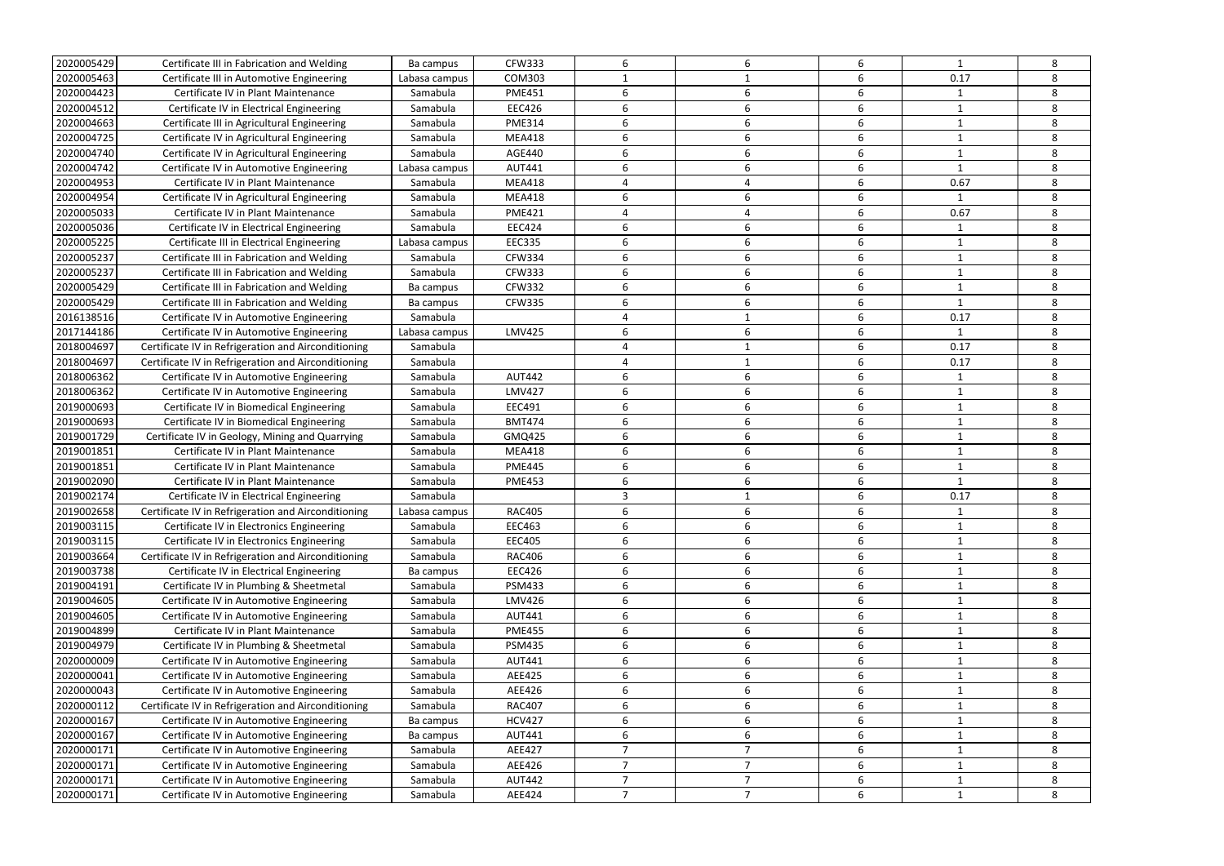| 2020005429 | Certificate III in Fabrication and Welding                                             | Ba campus     | <b>CFW333</b> | 6              | 6              | 6     | $\mathbf{1}$ | 8 |
|------------|----------------------------------------------------------------------------------------|---------------|---------------|----------------|----------------|-------|--------------|---|
| 2020005463 | Certificate III in Automotive Engineering                                              | Labasa campus | <b>COM303</b> |                |                | 6     | 0.17         | 8 |
| 2020004423 | Certificate IV in Plant Maintenance                                                    | Samabula      | <b>PME451</b> | 6              | 6              | 6     | -1           | 8 |
| 2020004512 | Certificate IV in Electrical Engineering                                               | Samabula      | <b>EEC426</b> | 6              | 6              | 6     | $\mathbf{1}$ | 8 |
| 2020004663 | Certificate III in Agricultural Engineering                                            | Samabula      | <b>PME314</b> | 6              | 6              | 6     | $\mathbf{1}$ | 8 |
| 2020004725 | Certificate IV in Agricultural Engineering                                             | Samabula      | <b>MEA418</b> | 6              | 6              | 6     | $\mathbf{1}$ | 8 |
| 2020004740 | Certificate IV in Agricultural Engineering                                             | Samabula      | <b>AGE440</b> | 6              | 6              | 6     | $\mathbf{1}$ | 8 |
| 2020004742 | Certificate IV in Automotive Engineering                                               | Labasa campus | <b>AUT441</b> | 6              | 6              | 6     |              | 8 |
| 2020004953 | Certificate IV in Plant Maintenance                                                    | Samabula      | <b>MEA418</b> | 4              | 4              | 6     | 0.67         | 8 |
| 2020004954 | Certificate IV in Agricultural Engineering                                             | Samabula      | <b>MEA418</b> | 6              | 6              | 6     | $\mathbf{1}$ | 8 |
| 2020005033 | Certificate IV in Plant Maintenance                                                    | Samabula      | <b>PME421</b> | 4              |                | 6     | 0.67         | 8 |
| 2020005036 | Certificate IV in Electrical Engineering                                               | Samabula      | <b>EEC424</b> | 6              | 6              | 6     | -1           | 8 |
| 2020005225 | Certificate III in Electrical Engineering                                              | Labasa campus | <b>EEC335</b> | 6              | 6              | 6     |              | 8 |
| 2020005237 | Certificate III in Fabrication and Welding                                             | Samabula      | <b>CFW334</b> | 6              | 6              | 6     | $\mathbf{1}$ | 8 |
| 2020005237 | Certificate III in Fabrication and Welding                                             | Samabula      | <b>CFW333</b> | 6              | 6              | 6     | -1           | 8 |
| 2020005429 | Certificate III in Fabrication and Welding                                             | Ba campus     | <b>CFW332</b> | 6              | 6              | 6     | 1            | 8 |
| 2020005429 | Certificate III in Fabrication and Welding                                             | Ba campus     | <b>CFW335</b> | 6              | 6              | 6     | $\mathbf 1$  | 8 |
| 2016138516 | Certificate IV in Automotive Engineering                                               | Samabula      |               | 4              | 1              | 6     | 0.17         | 8 |
| 2017144186 | Certificate IV in Automotive Engineering                                               | Labasa campus | <b>LMV425</b> | 6              | 6              | 6     |              | 8 |
| 2018004697 | Certificate IV in Refrigeration and Airconditioning                                    | Samabula      |               | 4              |                | 6     | 0.17         | 8 |
| 2018004697 | Certificate IV in Refrigeration and Airconditioning                                    | Samabula      |               |                |                | 6     | 0.17         | 8 |
| 2018006362 | Certificate IV in Automotive Engineering                                               | Samabula      | <b>AUT442</b> | 6              | 6              | 6     | $\mathbf 1$  | 8 |
| 2018006362 | Certificate IV in Automotive Engineering                                               | Samabula      | <b>LMV427</b> | 6              | 6              | 6     | 1            | 8 |
| 2019000693 | Certificate IV in Biomedical Engineering                                               | Samabula      | <b>EEC491</b> | 6              | 6              | 6     | 1            | 8 |
| 2019000693 | Certificate IV in Biomedical Engineering                                               | Samabula      | <b>BMT474</b> | 6              | 6              | $6\,$ | 1            | 8 |
| 2019001729 |                                                                                        | Samabula      | GMQ425        | 6              | 6              | 6     | $\mathbf{1}$ | 8 |
| 2019001851 | Certificate IV in Geology, Mining and Quarrying<br>Certificate IV in Plant Maintenance | Samabula      | <b>MEA418</b> | 6              | 6              | 6     | -1           | 8 |
| 2019001851 | Certificate IV in Plant Maintenance                                                    |               | <b>PME445</b> | 6              | 6              | 6     | -1           | 8 |
|            |                                                                                        | Samabula      |               | 6              |                |       |              |   |
| 2019002090 | Certificate IV in Plant Maintenance                                                    | Samabula      | <b>PME453</b> |                | 6              | 6     |              | 8 |
| 2019002174 | Certificate IV in Electrical Engineering                                               | Samabula      |               | 3              |                | 6     | 0.17         | 8 |
| 2019002658 | Certificate IV in Refrigeration and Airconditioning                                    | Labasa campus | <b>RAC405</b> |                |                |       |              | 8 |
| 2019003115 | Certificate IV in Electronics Engineering                                              | Samabula      | <b>EEC463</b> | 6              | 6              | 6     | $\mathbf{1}$ | 8 |
| 2019003115 | Certificate IV in Electronics Engineering                                              | Samabula      | <b>EEC405</b> | 6              | 6              | 6     | $\mathbf{1}$ | 8 |
| 2019003664 | Certificate IV in Refrigeration and Airconditioning                                    | Samabula      | <b>RAC406</b> | 6              | 6              | 6     | -1           | 8 |
| 2019003738 | Certificate IV in Electrical Engineering                                               | Ba campus     | <b>EEC426</b> | 6              | 6              | 6     | $\mathbf{1}$ | 8 |
| 2019004191 | Certificate IV in Plumbing & Sheetmetal                                                | Samabula      | <b>PSM433</b> | 6              | 6              | 6     |              | 8 |
| 2019004605 | Certificate IV in Automotive Engineering                                               | Samabula      | LMV426        | 6              | 6              | 6     | $\mathbf{1}$ | 8 |
| 2019004605 | Certificate IV in Automotive Engineering                                               | Samabula      | <b>AUT441</b> | 6              | 6              | 6     | 1            | 8 |
| 2019004899 | Certificate IV in Plant Maintenance                                                    | Samabula      | <b>PME455</b> | 6              | 6              | 6     | 1            | 8 |
| 2019004979 | Certificate IV in Plumbing & Sheetmetal                                                | Samabula      | <b>PSM435</b> | 6              | 6              | 6     | $\mathbf{1}$ | 8 |
| 2020000009 | Certificate IV in Automotive Engineering                                               | Samabula      | <b>AUT441</b> | 6              | 6              | 6     |              | 8 |
| 2020000041 | Certificate IV in Automotive Engineering                                               | Samabula      | AEE425        | 6              | 6              | 6     | $\mathbf{1}$ | 8 |
| 2020000043 | Certificate IV in Automotive Engineering                                               | Samabula      | AEE426        | 6              | 6              | 6     |              | 8 |
| 2020000112 | Certificate IV in Refrigeration and Airconditioning                                    | Samabula      | <b>RAC407</b> | 6              | 6              | 6     | 1            | 8 |
| 2020000167 | Certificate IV in Automotive Engineering                                               | Ba campus     | <b>HCV427</b> | 6              | 6              | 6     | $\mathbf{1}$ | 8 |
| 2020000167 | Certificate IV in Automotive Engineering                                               | Ba campus     | <b>AUT441</b> | 6              | 6              | 6     | $\mathbf{1}$ | 8 |
| 2020000171 | Certificate IV in Automotive Engineering                                               | Samabula      | AEE427        | $\overline{7}$ | 7              | 6     | $\mathbf{1}$ | 8 |
| 2020000171 | Certificate IV in Automotive Engineering                                               | Samabula      | AEE426        | $\overline{7}$ | 7              | 6     |              | 8 |
| 2020000171 | Certificate IV in Automotive Engineering                                               | Samabula      | <b>AUT442</b> | $\overline{7}$ | $\overline{7}$ | 6     | $\mathbf{1}$ | 8 |
| 2020000171 | Certificate IV in Automotive Engineering                                               | Samabula      | AEE424        | $\overline{7}$ | 7              | 6     | 1            | 8 |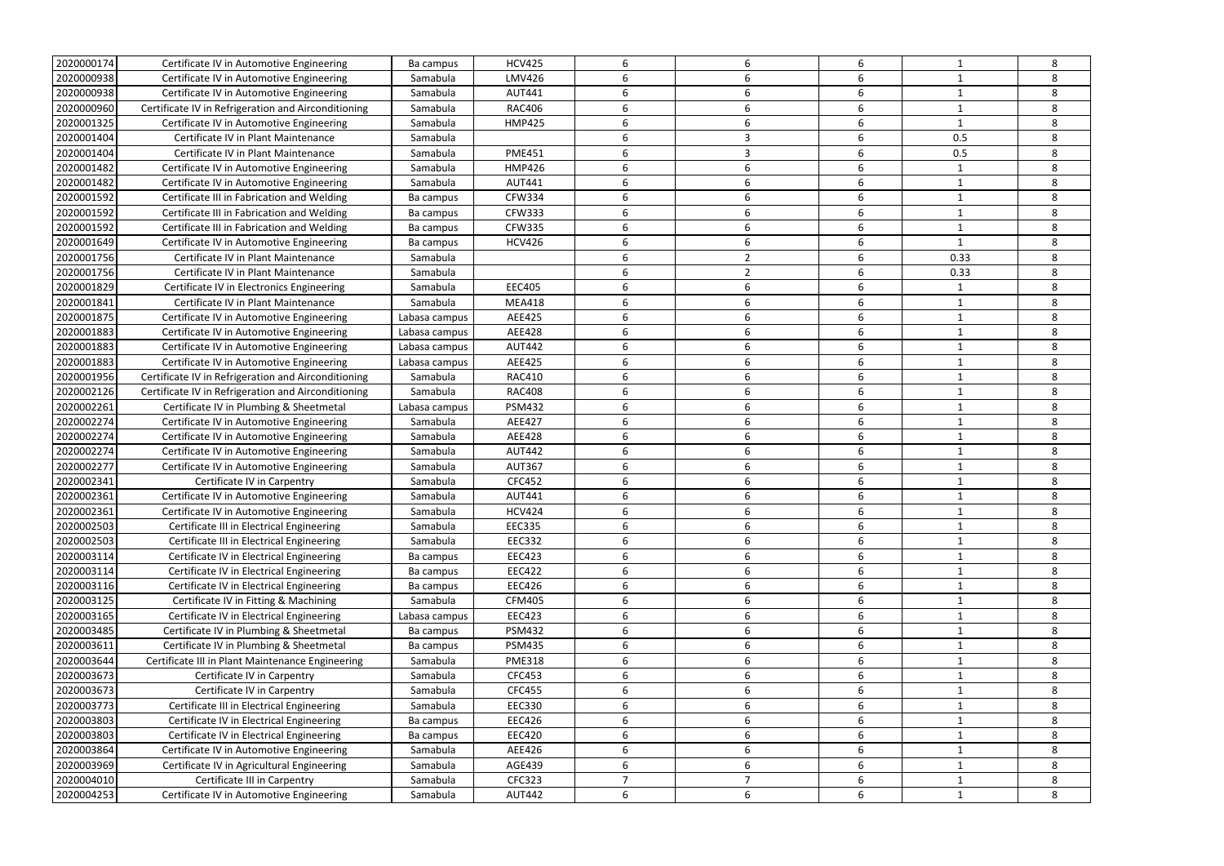| 2020000174 | Certificate IV in Automotive Engineering            | Ba campus     | <b>HCV425</b> | 6              | 6              | 6                |              | 8 |
|------------|-----------------------------------------------------|---------------|---------------|----------------|----------------|------------------|--------------|---|
| 2020000938 | Certificate IV in Automotive Engineering            | Samabula      | <b>LMV426</b> | 6              |                | 6                |              | 8 |
| 2020000938 | Certificate IV in Automotive Engineering            | Samabula      | <b>AUT441</b> | 6              | 6              | 6                |              | 8 |
| 2020000960 | Certificate IV in Refrigeration and Airconditioning | Samabula      | <b>RAC406</b> | 6              | 6              | 6                | -1           | 8 |
| 2020001325 | Certificate IV in Automotive Engineering            | Samabula      | <b>HMP425</b> | 6              | 6              | 6                | 1            | 8 |
| 2020001404 | Certificate IV in Plant Maintenance                 | Samabula      |               | 6              | 3              | 6                | 0.5          | 8 |
| 2020001404 | Certificate IV in Plant Maintenance                 | Samabula      | <b>PME451</b> | 6              | 3              | 6                | 0.5          | 8 |
| 2020001482 | Certificate IV in Automotive Engineering            | Samabula      | <b>HMP426</b> | 6              | 6              | 6                |              | 8 |
| 2020001482 | Certificate IV in Automotive Engineering            | Samabula      | <b>AUT441</b> | 6              | 6              | 6                |              | 8 |
| 2020001592 | Certificate III in Fabrication and Welding          | Ba campus     | <b>CFW334</b> | 6              | 6              | 6                |              | 8 |
| 2020001592 | Certificate III in Fabrication and Welding          | Ba campus     | <b>CFW333</b> | 6              | 6              | 6                |              | 8 |
| 2020001592 | Certificate III in Fabrication and Welding          | Ba campus     | <b>CFW335</b> | 6              | 6              | 6                |              | 8 |
| 2020001649 | Certificate IV in Automotive Engineering            | Ba campus     | <b>HCV426</b> | 6              | 6              | 6                |              | 8 |
| 2020001756 | Certificate IV in Plant Maintenance                 | Samabula      |               | 6              | 2              | 6                | 0.33         | 8 |
| 2020001756 | Certificate IV in Plant Maintenance                 | Samabula      |               | 6              | 2              | 6                | 0.33         | 8 |
| 2020001829 | Certificate IV in Electronics Engineering           | Samabula      | <b>EEC405</b> | 6              | 6              | 6                |              | 8 |
| 2020001841 | Certificate IV in Plant Maintenance                 | Samabula      | <b>MEA418</b> | 6              | 6              | 6                |              | 8 |
| 2020001875 | Certificate IV in Automotive Engineering            | Labasa campus | AEE425        | 6              | 6              | 6                |              | 8 |
| 2020001883 | Certificate IV in Automotive Engineering            | Labasa campus | <b>AEE428</b> | 6              | 6              | 6                |              | 8 |
| 2020001883 | Certificate IV in Automotive Engineering            | Labasa campus | <b>AUT442</b> | 6              | 6              | 6                |              | 8 |
| 2020001883 | Certificate IV in Automotive Engineering            | Labasa campus | <b>AEE425</b> | 6              | 6              | 6                |              | 8 |
| 2020001956 | Certificate IV in Refrigeration and Airconditioning | Samabula      | <b>RAC410</b> | 6              | 6              | 6                |              | 8 |
| 2020002126 | Certificate IV in Refrigeration and Airconditioning | Samabula      | <b>RAC408</b> | 6              | 6              | 6                | 1            | 8 |
| 2020002261 | Certificate IV in Plumbing & Sheetmetal             |               | <b>PSM432</b> | 6              | 6              | 6                | -1           | 8 |
|            |                                                     | Labasa campus | <b>AEE427</b> | 6              | 6              | 6                |              | 8 |
| 2020002274 | Certificate IV in Automotive Engineering            | Samabula      |               |                |                |                  |              |   |
| 2020002274 | Certificate IV in Automotive Engineering            | Samabula      | AEE428        | 6              | 6              | 6                |              | 8 |
| 2020002274 | Certificate IV in Automotive Engineering            | Samabula      | <b>AUT442</b> | 6              | 6              | 6                |              | 8 |
| 2020002277 | Certificate IV in Automotive Engineering            | Samabula      | <b>AUT367</b> | 6              | 6              | 6                |              | 8 |
| 2020002341 | Certificate IV in Carpentry                         | Samabula      | CFC452        | 6              | 6              | 6                |              | 8 |
| 2020002361 | Certificate IV in Automotive Engineering            | Samabula      | <b>AUT441</b> | 6              |                | 6                |              | 8 |
| 2020002361 | Certificate IV in Automotive Engineering            | Samabula      | <b>HCV424</b> |                |                |                  |              | 8 |
| 2020002503 | Certificate III in Electrical Engineering           | Samabula      | <b>EEC335</b> | 6              | 6              | 6                | $\mathbf{1}$ | 8 |
| 2020002503 | Certificate III in Electrical Engineering           | Samabula      | <b>EEC332</b> | 6              | 6              | 6                | $\mathbf{1}$ | 8 |
| 2020003114 | Certificate IV in Electrical Engineering            | Ba campus     | <b>EEC423</b> | 6              | 6              | 6                |              | 8 |
| 2020003114 | Certificate IV in Electrical Engineering            | Ba campus     | <b>EEC422</b> | 6              | 6              | 6                | 1            | 8 |
| 2020003116 | Certificate IV in Electrical Engineering            | Ba campus     | <b>EEC426</b> | 6              | 6              | 6                |              | 8 |
| 2020003125 | Certificate IV in Fitting & Machining               | Samabula      | <b>CFM405</b> | 6              | 6              | 6                |              | 8 |
| 2020003165 | Certificate IV in Electrical Engineering            | Labasa campus | <b>EEC423</b> | 6              | 6              | 6                |              | 8 |
| 2020003485 | Certificate IV in Plumbing & Sheetmetal             | Ba campus     | <b>PSM432</b> | 6              | 6              | 6                |              | 8 |
| 2020003611 | Certificate IV in Plumbing & Sheetmetal             | Ba campus     | <b>PSM435</b> | 6              | 6              | 6                | $\mathbf 1$  | 8 |
| 2020003644 | Certificate III in Plant Maintenance Engineering    | Samabula      | <b>PME318</b> | 6              | 6              | 6                | 1            | 8 |
| 2020003673 | Certificate IV in Carpentry                         | Samabula      | CFC453        | 6              | 6              | $\boldsymbol{6}$ |              | 8 |
| 2020003673 | Certificate IV in Carpentry                         | Samabula      | <b>CFC455</b> | 6              | 6              | $\boldsymbol{6}$ | 1            | 8 |
| 2020003773 | Certificate III in Electrical Engineering           | Samabula      | <b>EEC330</b> | 6              | 6              | $\boldsymbol{6}$ |              | 8 |
| 2020003803 | Certificate IV in Electrical Engineering            | Ba campus     | <b>EEC426</b> | 6              | 6              | 6                |              | 8 |
| 2020003803 | Certificate IV in Electrical Engineering            | Ba campus     | <b>EEC420</b> | 6              | 6              | 6                |              | 8 |
| 2020003864 | Certificate IV in Automotive Engineering            | Samabula      | AEE426        | 6              | 6              | 6                |              | 8 |
| 2020003969 | Certificate IV in Agricultural Engineering          | Samabula      | AGE439        | 6              | 6              | 6                |              | 8 |
|            |                                                     |               |               |                |                |                  |              |   |
| 2020004010 | Certificate III in Carpentry                        | Samabula      | CFC323        | $\overline{7}$ | $\overline{7}$ | 6                | 1            | 8 |